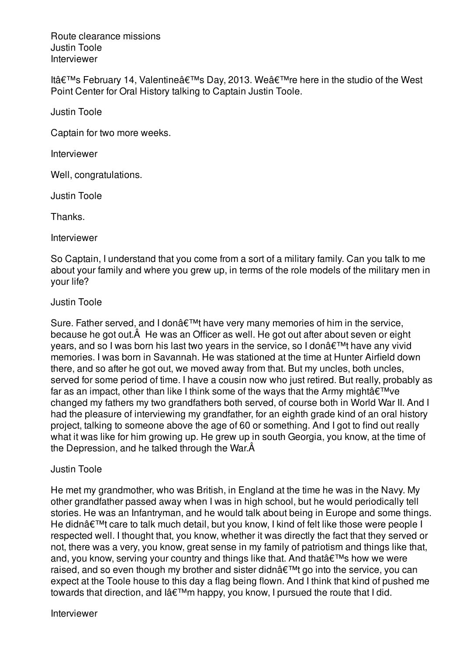Route clearance missions Justin Toole Interviewer

It's February 14, Valentine's Day, 2013. We're here in the studio of the West Point Center for Oral History talking to Captain Justin Toole.

Justin Toole

Captain for two more weeks.

Interviewer

Well, congratulations.

Justin Toole

Thanks.

Interviewer

So Captain, I understand that you come from a sort of a military family. Can you talk to me about your family and where you grew up, in terms of the role models of the military men in your life?

Justin Toole

Sure. Father served, and I don't have very many memories of him in the service, because he got out.Â He was an Officer as well. He got out after about seven or eight years, and so I was born his last two years in the service, so I don $\hat{\mathbf{a}} \in \mathbb{M}$ t have any vivid memories. I was born in Savannah. He was stationed at the time at Hunter Airfield down there, and so after he got out, we moved away from that. But my uncles, both uncles, served for some period of time. I have a cousin now who just retired. But really, probably as far as an impact, other than like I think some of the ways that the Army might $\hat{a} \in T^{M}$ ve changed my fathers my two grandfathers both served, of course both in World War II. And I had the pleasure of interviewing my grandfather, for an eighth grade kind of an oral history project, talking to someone above the age of 60 or something. And I got to find out really what it was like for him growing up. He grew up in south Georgia, you know, at the time of the Depression, and he talked through the War.Â

## Justin Toole

He met my grandmother, who was British, in England at the time he was in the Navy. My other grandfather passed away when I was in high school, but he would periodically tell stories. He was an Infantryman, and he would talk about being in Europe and some things. He didn't care to talk much detail, but you know, I kind of felt like those were people I respected well. I thought that, you know, whether it was directly the fact that they served or not, there was a very, you know, great sense in my family of patriotism and things like that, and, you know, serving your country and things like that. And that  $\hat{\mathbf{a}} \in \mathbb{M}$ s how we were raised, and so even though my brother and sister didn $\hat{a} \in \mathbb{M}$ t go into the service, you can expect at the Toole house to this day a flag being flown. And I think that kind of pushed me towards that direction, and  $I\hat{a} \in T^M$ m happy, you know, I pursued the route that I did.

Interviewer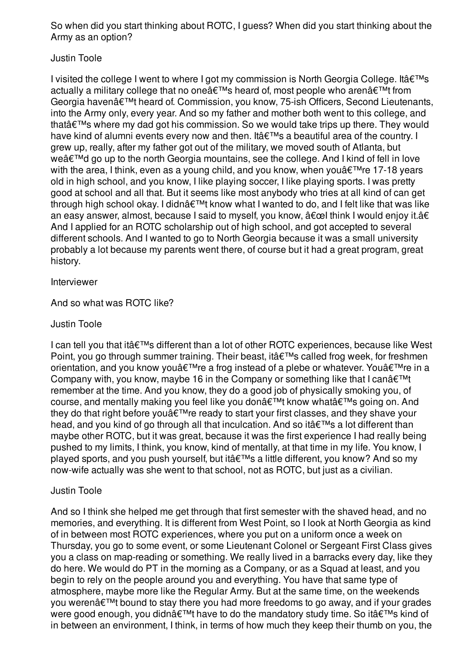So when did you start thinking about ROTC, I guess? When did you start thinking about the Army as an option?

## Justin Toole

I visited the college I went to where I got my commission is North Georgia College. It  $\hat{\mathbf{a}} \in \mathbb{M}$ s actually a military college that no one  $\hat{\mathbf{a}} \in \mathbb{R}^{T}$  heard of, most people who aren $\hat{\mathbf{a}} \in \mathbb{R}^{T}$  from Georgia havenâ€<sup>™</sup>t heard of. Commission, you know, 75-ish Officers, Second Lieutenants, into the Army only, every year. And so my father and mother both went to this college, and that $\hat{\mathbf{a}} \in \mathbb{R}^m$ s where my dad got his commission. So we would take trips up there. They would have kind of alumni events every now and then. It's a beautiful area of the country. I grew up, really, after my father got out of the military, we moved south of Atlanta, but we'd go up to the north Georgia mountains, see the college. And I kind of fell in love with the area, I think, even as a young child, and you know, when you $\hat{a} \in T^M$ re 17-18 years old in high school, and you know, I like playing soccer, I like playing sports. I was pretty good at school and all that. But it seems like most anybody who tries at all kind of can get through high school okay. I didn $\hat{\mathbf{a}} \in \mathbb{M}$  know what I wanted to do, and I felt like that was like an easy answer, almost, because I said to myself, you know,  $\hat{a} \in \mathbb{C}$  think I would enjoy it. $\hat{a} \in$ And I applied for an ROTC scholarship out of high school, and got accepted to several different schools. And I wanted to go to North Georgia because it was a small university probably a lot because my parents went there, of course but it had a great program, great history.

Interviewer

And so what was ROTC like?

## Justin Toole

I can tell you that it's different than a lot of other ROTC experiences, because like West Point, you go through summer training. Their beast, it's called frog week, for freshmen orientation, and you know you're a frog instead of a plebe or whatever. You're in a Company with, you know, maybe 16 in the Company or something like that I can $\hat{a} \in \mathbb{M}$ remember at the time. And you know, they do a good job of physically smoking you, of course, and mentally making you feel like you don't know what's going on. And they do that right before you  $\hat{\epsilon}^{\text{TM}}$ re ready to start your first classes, and they shave your head, and you kind of go through all that inculcation. And so it's a lot different than maybe other ROTC, but it was great, because it was the first experience I had really being pushed to my limits, I think, you know, kind of mentally, at that time in my life. You know, I played sports, and you push yourself, but it's a little different, you know? And so my now-wife actually was she went to that school, not as ROTC, but just as a civilian.

## Justin Toole

And so I think she helped me get through that first semester with the shaved head, and no memories, and everything. It is different from West Point, so I look at North Georgia as kind of in between most ROTC experiences, where you put on a uniform once a week on Thursday, you go to some event, or some Lieutenant Colonel or Sergeant First Class gives you a class on map-reading or something. We really lived in a barracks every day, like they do here. We would do PT in the morning as a Company, or as a Squad at least, and you begin to rely on the people around you and everything. You have that same type of atmosphere, maybe more like the Regular Army. But at the same time, on the weekends you weren't bound to stay there you had more freedoms to go away, and if your grades were good enough, you didn't have to do the mandatory study time. So it's kind of in between an environment, I think, in terms of how much they keep their thumb on you, the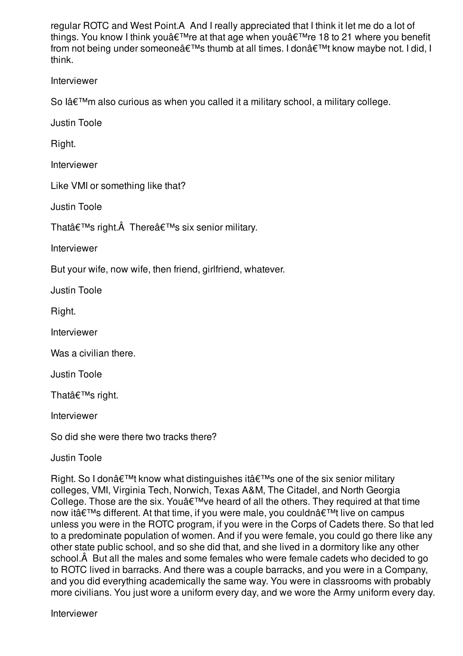regular ROTC and West Point.Â And I really appreciated that I think it let me do a lot of things. You know I think you're at that age when you're 18 to 21 where you benefit from not being under someone's thumb at all times. I don't know maybe not. I did, I think.

Interviewer

So lâ $\epsilon^{\text{TM}}$ m also curious as when you called it a military school, a military college.

Justin Toole

Right.

Interviewer

Like VMI or something like that?

Justin Toole

That's right. There's six senior military.

Interviewer

But your wife, now wife, then friend, girlfriend, whatever.

Justin Toole

Right.

Interviewer

Was a civilian there.

Justin Toole

Thatâ€<sup>™</sup>s right.

Interviewer

So did she were there two tracks there?

Justin Toole

Right. So I don $\hat{\mathbf{a}} \in \mathbb{M}$  know what distinguishes it  $\hat{\mathbf{a}} \in \mathbb{M}$ s one of the six senior military colleges, VMI, Virginia Tech, Norwich, Texas A&M, The Citadel, and North Georgia College. Those are the six. You $\hat{\mathbf{a}} \in \mathbb{R}^N$  we heard of all the others. They required at that time now it's different. At that time, if you were male, you couldn't live on campus unless you were in the ROTC program, if you were in the Corps of Cadets there. So that led to a predominate population of women. And if you were female, you could go there like any other state public school, and so she did that, and she lived in a dormitory like any other school.Â But all the males and some females who were female cadets who decided to go to ROTC lived in barracks. And there was a couple barracks, and you were in a Company, and you did everything academically the same way. You were in classrooms with probably more civilians. You just wore a uniform every day, and we wore the Army uniform every day.

Interviewer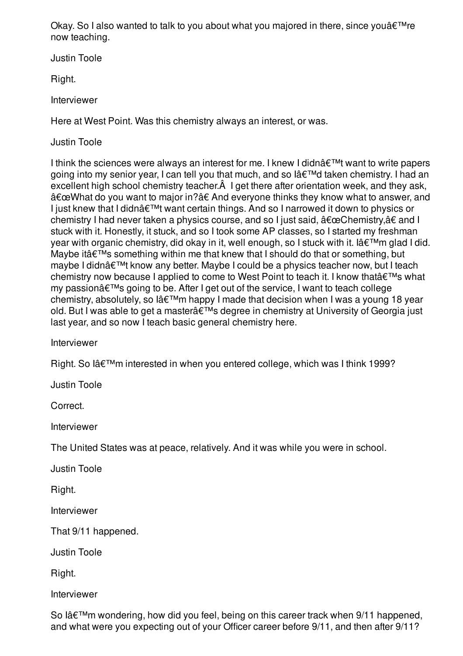Okay. So I also wanted to talk to you about what you majored in there, since you  $\hat{\mathbf{z}}^{\text{TM}}$ re now teaching.

Justin Toole

Right.

Interviewer

Here at West Point. Was this chemistry always an interest, or was.

Justin Toole

I think the sciences were always an interest for me. I knew I didn $\hat{a} \in \mathbb{M}$ t want to write papers going into my senior year, I can tell you that much, and so l'd taken chemistry. I had an excellent high school chemistry teacher.Â I get there after orientation week, and they ask, "What do you want to major in?†And everyone thinks they know what to answer, and I just knew that I didn $\hat{\mathbf{a}} \in \mathbb{M}$  want certain things. And so I narrowed it down to physics or chemistry I had never taken a physics course, and so I just said,  $â€ceChemistry,†and I$ stuck with it. Honestly, it stuck, and so I took some AP classes, so I started my freshman year with organic chemistry, did okay in it, well enough, so I stuck with it. I  $\hat{a} \in \mathbb{N}$ m glad I did. Maybe it $a \in TM$ s something within me that knew that I should do that or something, but maybe I didn't know any better. Maybe I could be a physics teacher now, but I teach chemistry now because I applied to come to West Point to teach it. I know that  $\hat{\mathbf{a}} \in \mathbb{M}$ s what my passion $\hat{a} \in \mathbb{M}$ s going to be. After I get out of the service, I want to teach college chemistry, absolutely, so lâ $\epsilon^{\text{TM}}$ m happy I made that decision when I was a young 18 year old. But I was able to get a master $\hat{\mathbf{a}} \in \mathbb{M}$ s degree in chemistry at University of Georgia just last year, and so now I teach basic general chemistry here.

Interviewer

Right. So l'm interested in when you entered college, which was I think 1999?

Justin Toole

Correct.

Interviewer

The United States was at peace, relatively. And it was while you were in school.

Justin Toole

Right.

Interviewer

That 9/11 happened.

Justin Toole

Right.

Interviewer

So l'm wondering, how did you feel, being on this career track when 9/11 happened, and what were you expecting out of your Officer career before 9/11, and then after 9/11?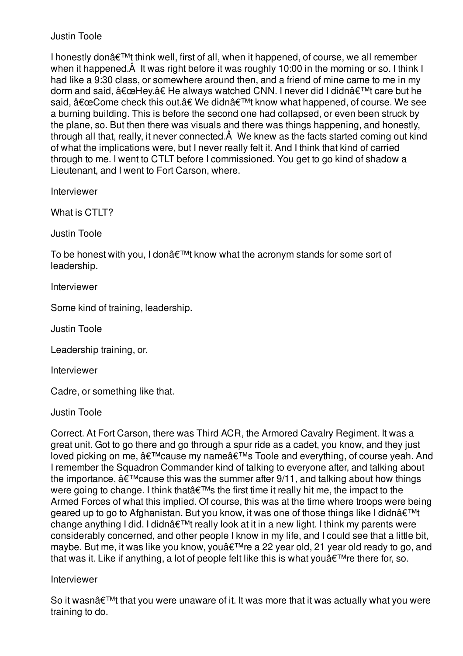I honestly don $\hat{a} \in \mathbb{M}$  think well, first of all, when it happened, of course, we all remember when it happened. $\hat{A}$  It was right before it was roughly 10:00 in the morning or so. I think I had like a 9:30 class, or somewhere around then, and a friend of mine came to me in my dorm and said,  $â€ceHey.†He$  always watched CNN. I never did I didn't care but he said,  $â€ceCome check this out.†We didn't know what happened, of course. We see$ a burning building. This is before the second one had collapsed, or even been struck by the plane, so. But then there was visuals and there was things happening, and honestly, through all that, really, it never connected.Â We knew as the facts started coming out kind of what the implications were, but I never really felt it. And I think that kind of carried through to me. I went to CTLT before I commissioned. You get to go kind of shadow a Lieutenant, and I went to Fort Carson, where.

Interviewer

What is CTLT?

Justin Toole

To be honest with you, I don $\hat{\mathbf{a}} \in \mathbb{M}$  know what the acronym stands for some sort of leadership.

Interviewer

Some kind of training, leadership.

Justin Toole

Leadership training, or.

Interviewer

Cadre, or something like that.

Justin Toole

Correct. At Fort Carson, there was Third ACR, the Armored Cavalry Regiment. It was a great unit. Got to go there and go through a spur ride as a cadet, you know, and they just loved picking on me,  $\hat{a} \in \mathbb{M}$ cause my name $\hat{a} \in \mathbb{M}$ s Toole and everything, of course yeah. And I remember the Squadron Commander kind of talking to everyone after, and talking about the importance,  $\hat{a} \in \mathbb{M}$  cause this was the summer after 9/11, and talking about how things were going to change. I think that's the first time it really hit me, the impact to the Armed Forces of what this implied. Of course, this was at the time where troops were being geared up to go to Afghanistan. But you know, it was one of those things like I didnâ€<sup>™t</sup> change anything I did. I didn't really look at it in a new light. I think my parents were considerably concerned, and other people I know in my life, and I could see that a little bit, maybe. But me, it was like you know, you're a 22 year old, 21 year old ready to go, and that was it. Like if anything, a lot of people felt like this is what you  $\hat{\theta} \in \mathbb{R}^{n}$  and there for, so.

## Interviewer

So it wasn $\hat{a} \in \mathbb{M}$  that you were unaware of it. It was more that it was actually what you were training to do.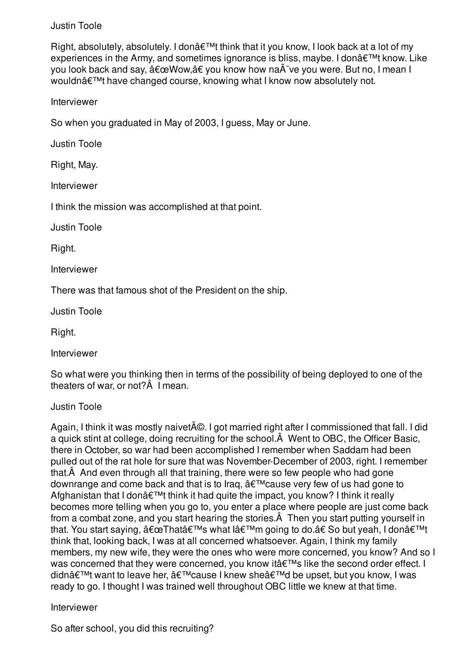Right, absolutely, absolutely. I don $\hat{\mathbf{a}} \in \mathbb{M}$ t think that it you know, I look back at a lot of my experiences in the Army, and sometimes ignorance is bliss, maybe. I don $\hat{\mathbf{a}} \in \mathbb{M}^{\mathsf{M}}$  know. Like you look back and say,  $â€$ œWow,†you know how naà ve you were. But no, I mean I wouldn't have changed course, knowing what I know now absolutely not.

Interviewer

So when you graduated in May of 2003, I guess, May or June.

Justin Toole

Right, May.

Interviewer

I think the mission was accomplished at that point.

Justin Toole

Right.

Interviewer

There was that famous shot of the President on the ship.

Justin Toole

Right.

Interviewer

So what were you thinking then in terms of the possibility of being deployed to one of the theaters of war, or not?Â I mean.

Justin Toole

Again, I think it was mostly naivet $\tilde{A}$ ©. I got married right after I commissioned that fall. I did a quick stint at college, doing recruiting for the school.Â Went to OBC, the Officer Basic, there in October, so war had been accomplished I remember when Saddam had been pulled out of the rat hole for sure that was November-December of 2003, right. I remember that.Â And even through all that training, there were so few people who had gone downrange and come back and that is to Irag,  $\hat{a} \in \text{TM}$  cause very few of us had gone to Afghanistan that I don $\hat{\mathbf{a}} \in \mathbb{M}$  think it had quite the impact, you know? I think it really becomes more telling when you go to, you enter a place where people are just come back from a combat zone, and you start hearing the stories.Â Then you start putting yourself in that. You start saying,  $â€ceThat's what I'm going to do.†So but yeah, I don't$ think that, looking back, I was at all concerned whatsoever. Again, I think my family members, my new wife, they were the ones who were more concerned, you know? And so I was concerned that they were concerned, you know it's like the second order effect. I didn't want to leave her, 'cause I knew she'd be upset, but you know, I was ready to go. I thought I was trained well throughout OBC little we knew at that time.

Interviewer

So after school, you did this recruiting?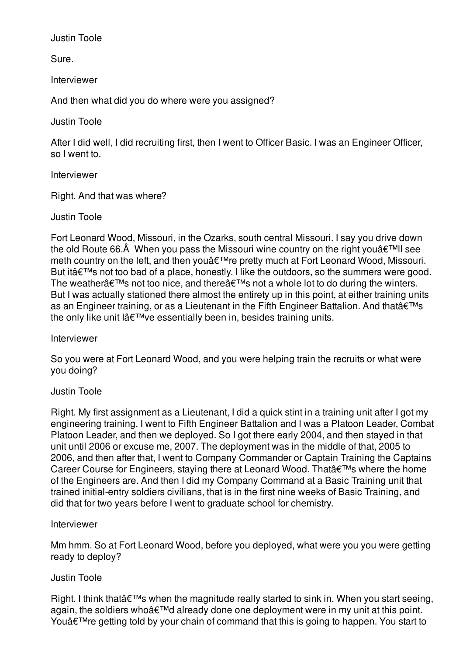Sure.

Interviewer

And then what did you do where were you assigned?

 $S_{\rm eff}$  after school, you did this recording  $S_{\rm eff}$ 

Justin Toole

After I did well, I did recruiting first, then I went to Officer Basic. I was an Engineer Officer, so I went to.

Interviewer

Right. And that was where?

Justin Toole

Fort Leonard Wood, Missouri, in the Ozarks, south central Missouri. I say you drive down the old Route 66. $\hat{A}$  When you pass the Missouri wine country on the right you $\hat{a} \in \mathbb{N}$ II see meth country on the left, and then you're pretty much at Fort Leonard Wood, Missouri. But it $a \in \mathbb{M}$ s not too bad of a place, honestly. I like the outdoors, so the summers were good. The weather $a \in \mathbb{M}$ s not too nice, and there $a \in \mathbb{M}$ s not a whole lot to do during the winters. But I was actually stationed there almost the entirety up in this point, at either training units as an Engineer training, or as a Lieutenant in the Fifth Engineer Battalion. And that's the only like unit lâ $\varepsilon^{\text{TM}}$ ve essentially been in, besides training units.

Interviewer

So you were at Fort Leonard Wood, and you were helping train the recruits or what were you doing?

### Justin Toole

Right. My first assignment as a Lieutenant, I did a quick stint in a training unit after I got my engineering training. I went to Fifth Engineer Battalion and I was a Platoon Leader, Combat Platoon Leader, and then we deployed. So I got there early 2004, and then stayed in that unit until 2006 or excuse me, 2007. The deployment was in the middle of that, 2005 to 2006, and then after that, I went to Company Commander or Captain Training the Captains Career Course for Engineers, staying there at Leonard Wood. That's where the home of the Engineers are. And then I did my Company Command at a Basic Training unit that trained initial-entry soldiers civilians, that is in the first nine weeks of Basic Training, and did that for two years before I went to graduate school for chemistry.

### Interviewer

Mm hmm. So at Fort Leonard Wood, before you deployed, what were you you were getting ready to deploy?

### Justin Toole

Right. I think that  $\hat{\theta} \in \mathbb{M}$ s when the magnitude really started to sink in. When you start seeing, again, the soldiers who'd already done one deployment were in my unit at this point. You $\hat{\mathbf{a}} \in \mathbb{R}^{m}$  re getting told by your chain of command that this is going to happen. You start to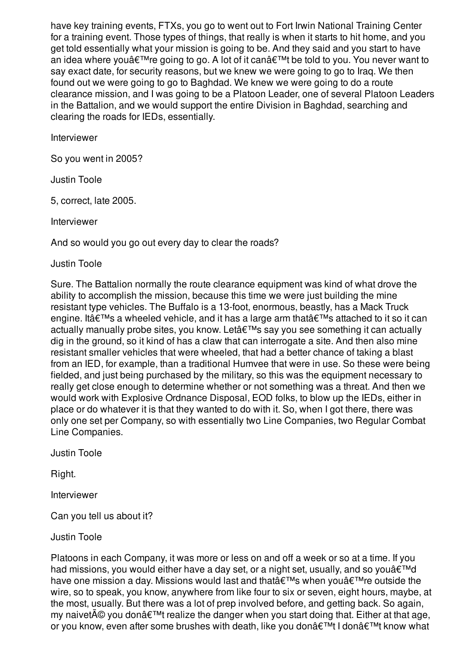have key training events, FTXs, you go to went out to Fort Irwin National Training Center for a training event. Those types of things, that really is when it starts to hit home, and you get told essentially what your mission is going to be. And they said and you start to have an idea where you  $\hat{\epsilon}^{\text{TM}}$ re going to go. A lot of it can $\hat{\epsilon}^{\text{TM}}$ t be told to you. You never want to say exact date, for security reasons, but we knew we were going to go to Iraq. We then found out we were going to go to Baghdad. We knew we were going to do a route clearance mission, and I was going to be a Platoon Leader, one of several Platoon Leaders in the Battalion, and we would support the entire Division in Baghdad, searching and clearing the roads for IEDs, essentially.

Interviewer

So you went in 2005?

Justin Toole

5, correct, late 2005.

Interviewer

And so would you go out every day to clear the roads?

Justin Toole

Sure. The Battalion normally the route clearance equipment was kind of what drove the ability to accomplish the mission, because this time we were just building the mine resistant type vehicles. The Buffalo is a 13-foot, enormous, beastly, has a Mack Truck engine. It at  $W$ s a wheeled vehicle, and it has a large arm that  $\hat{\theta} \in W$ s attached to it so it can actually manually probe sites, you know. Let's say you see something it can actually dig in the ground, so it kind of has a claw that can interrogate a site. And then also mine resistant smaller vehicles that were wheeled, that had a better chance of taking a blast from an IED, for example, than a traditional Humvee that were in use. So these were being fielded, and just being purchased by the military, so this was the equipment necessary to really get close enough to determine whether or not something was a threat. And then we would work with Explosive Ordnance Disposal, EOD folks, to blow up the IEDs, either in place or do whatever it is that they wanted to do with it. So, when I got there, there was only one set per Company, so with essentially two Line Companies, two Regular Combat Line Companies.

Justin Toole

Right.

Interviewer

Can you tell us about it?

Justin Toole

Platoons in each Company, it was more or less on and off a week or so at a time. If you had missions, you would either have a day set, or a night set, usually, and so you $\hat{\mathbf{a}} \in \mathbb{N}$ have one mission a day. Missions would last and that  $\theta \in \mathbb{R}^m$ s when you  $\theta \in \mathbb{R}^m$ re outside the wire, so to speak, you know, anywhere from like four to six or seven, eight hours, maybe, at the most, usually. But there was a lot of prep involved before, and getting back. So again, my naivet  $A\otimes$  you don  $A\in\mathbb{T}^N$ t realize the danger when you start doing that. Either at that age, or you know, even after some brushes with death, like you don $\hat{a} \in T^M$ t I don $\hat{a} \in T^M$ t know what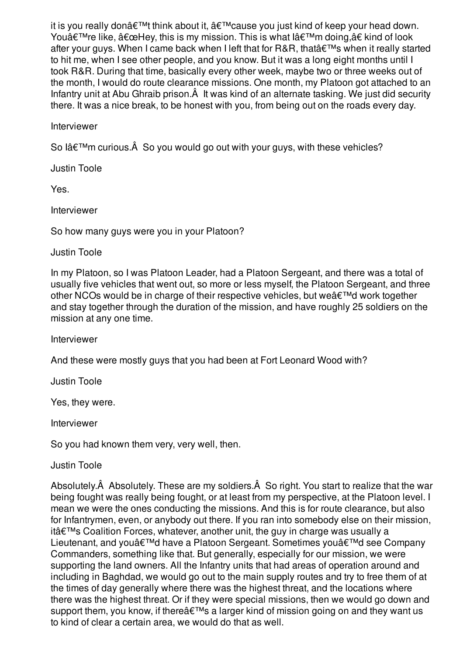it is you really donâ $\epsilon^{TM}$ t think about it,  $\hat{\mathbf{a}} \epsilon^{TM}$ cause you just kind of keep your head down. You're like, "Hey, this is my mission. This is what l'm doing,†kind of look after your guys. When I came back when I left that for R&R, that  $\hat{\epsilon}$ <sup>TM</sup>s when it really started to hit me, when I see other people, and you know. But it was a long eight months until I took R&R. During that time, basically every other week, maybe two or three weeks out of the month, I would do route clearance missions. One month, my Platoon got attached to an Infantry unit at Abu Ghraib prison.Â It was kind of an alternate tasking. We just did security there. It was a nice break, to be honest with you, from being out on the roads every day.

Interviewer

So lâ $\epsilon^{\text{TM}}$ m curious. $\hat{A}$  So you would go out with your guys, with these vehicles?

Justin Toole

Yes.

Interviewer

So how many guys were you in your Platoon?

Justin Toole

In my Platoon, so I was Platoon Leader, had a Platoon Sergeant, and there was a total of usually five vehicles that went out, so more or less myself, the Platoon Sergeant, and three other NCOs would be in charge of their respective vehicles, but we  $\hat{\mathbf{a}} \in \mathbb{M}$  work together and stay together through the duration of the mission, and have roughly 25 soldiers on the mission at any one time.

Interviewer

And these were mostly guys that you had been at Fort Leonard Wood with?

Justin Toole

Yes, they were.

Interviewer

So you had known them very, very well, then.

Justin Toole

Absolutely.Â Absolutely. These are my soldiers.Â So right. You start to realize that the war being fought was really being fought, or at least from my perspective, at the Platoon level. I mean we were the ones conducting the missions. And this is for route clearance, but also for Infantrymen, even, or anybody out there. If you ran into somebody else on their mission, itâ $\epsilon$ <sup>TM</sup>s Coalition Forces, whatever, another unit, the guy in charge was usually a Lieutenant, and you'd have a Platoon Sergeant. Sometimes you'd see Company Commanders, something like that. But generally, especially for our mission, we were supporting the land owners. All the Infantry units that had areas of operation around and including in Baghdad, we would go out to the main supply routes and try to free them of at the times of day generally where there was the highest threat, and the locations where there was the highest threat. Or if they were special missions, then we would go down and support them, you know, if there's a larger kind of mission going on and they want us to kind of clear a certain area, we would do that as well.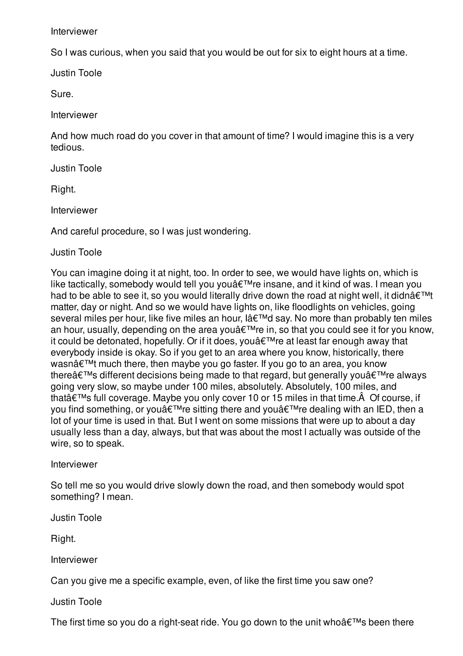Interviewer

So I was curious, when you said that you would be out for six to eight hours at a time.

Justin Toole

Sure.

Interviewer

And how much road do you cover in that amount of time? I would imagine this is a very tedious.

Justin Toole

Right.

Interviewer

And careful procedure, so I was just wondering.

Justin Toole

You can imagine doing it at night, too. In order to see, we would have lights on, which is like tactically, somebody would tell you you're insane, and it kind of was. I mean you had to be able to see it, so you would literally drive down the road at night well, it didnâ $\epsilon^{TM}$ t matter, day or night. And so we would have lights on, like floodlights on vehicles, going several miles per hour, like five miles an hour, l'd say. No more than probably ten miles an hour, usually, depending on the area you $\hat{\mathcal{A}}^{\text{TM}}$ re in, so that you could see it for you know, it could be detonated, hopefully. Or if it does, you  $\hat{a} \in T^M$ re at least far enough away that everybody inside is okay. So if you get to an area where you know, historically, there wasn $\hat{\mathbf{a}} \in \mathbb{M}$  much there, then maybe you go faster. If you go to an area, you know there $\hat{\mathbf{a}} \in \mathbb{M}$ s different decisions being made to that regard, but generally you $\hat{\mathbf{a}} \in \mathbb{M}$ re always going very slow, so maybe under 100 miles, absolutely. Absolutely, 100 miles, and that  $\hat{\theta} \in \mathbb{R}^{m}$ s full coverage. Maybe you only cover 10 or 15 miles in that time.  $\hat{A}$  Of course, if you find something, or you $\hat{\mathcal{A}} \in \mathbb{R}^n$  is sitting there and you  $\hat{\mathcal{A}} \in \mathbb{R}^n$  and with an IED, then a lot of your time is used in that. But I went on some missions that were up to about a day usually less than a day, always, but that was about the most I actually was outside of the wire, so to speak.

Interviewer

So tell me so you would drive slowly down the road, and then somebody would spot something? I mean.

Justin Toole

Right.

Interviewer

Can you give me a specific example, even, of like the first time you saw one?

Justin Toole

The first time so you do a right-seat ride. You go down to the unit who  $\hat{a} \in \mathbb{M}$ s been there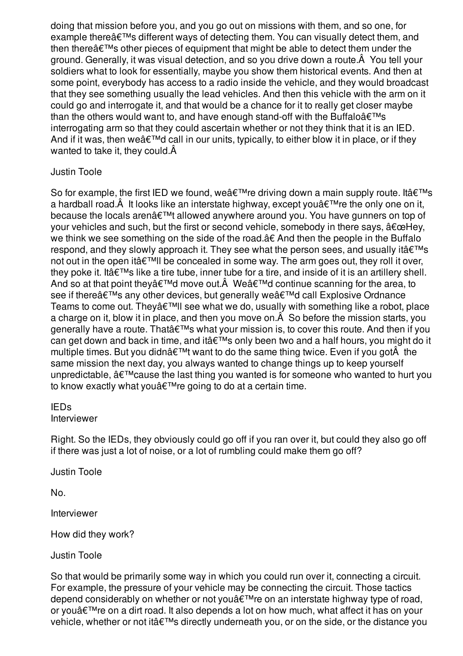doing that mission before you, and you go out on missions with them, and so one, for example there $\hat{a} \in \mathbb{M}$ s different ways of detecting them. You can visually detect them, and then there $\hat{a} \in \mathbb{M}$  other pieces of equipment that might be able to detect them under the ground. Generally, it was visual detection, and so you drive down a route.Â You tell your soldiers what to look for essentially, maybe you show them historical events. And then at some point, everybody has access to a radio inside the vehicle, and they would broadcast that they see something usually the lead vehicles. And then this vehicle with the arm on it could go and interrogate it, and that would be a chance for it to really get closer maybe than the others would want to, and have enough stand-off with the Buffalo $\hat{a} \in \mathbb{M}$ s interrogating arm so that they could ascertain whether or not they think that it is an IED. And if it was, then we  $\hat{a} \in \mathbb{M}$  call in our units, typically, to either blow it in place, or if they wanted to take it, they could.Â

## Justin Toole

So for example, the first IED we found, we  $\hat{\mathbf{a}} \in \mathbb{M}$  re driving down a main supply route. It  $\hat{\mathbf{a}} \in \mathbb{M}$ s a hardball road. $\hat{A}$  It looks like an interstate highway, except you $\hat{a} \in I^M$ re the only one on it, because the locals aren't allowed anywhere around you. You have gunners on top of your vehicles and such, but the first or second vehicle, somebody in there says,  $\hat{a} \in \Omega$ . we think we see something on the side of the road. a € And then the people in the Buffalo respond, and they slowly approach it. They see what the person sees, and usually it  $\hat{\mathbf{a}} \in \mathbb{N}$ s not out in the open it  $\hat{a} \in \mathbb{R}^n$  be concealed in some way. The arm goes out, they roll it over, they poke it. It at  $T^M$ s like a tire tube, inner tube for a tire, and inside of it is an artillery shell. And so at that point they $\hat{a} \in \mathbb{M}$ d move out. $\hat{A}$  We $\hat{a} \in \mathbb{M}$ d continue scanning for the area, to see if there's any other devices, but generally we'd call Explosive Ordnance Teams to come out. They  $\hat{\alpha} \in \mathbb{M}$ l see what we do, usually with something like a robot, place a charge on it, blow it in place, and then you move on.Â So before the mission starts, you generally have a route. That's what your mission is, to cover this route. And then if you can get down and back in time, and it  $\hat{\epsilon}^{\text{TM}}$ s only been two and a half hours, you might do it multiple times. But you didnâ $\epsilon^{\text{TM}}$  want to do the same thing twice. Even if you got $\hat{A}$  the same mission the next day, you always wanted to change things up to keep yourself unpredictable,  $\hat{a} \in \mathbb{M}$  cause the last thing you wanted is for someone who wanted to hurt you to know exactly what you  $\hat{\mathbf{a}} \in \mathbb{M}$  regoing to do at a certain time.

#### IEDs Interviewer

Right. So the IEDs, they obviously could go off if you ran over it, but could they also go off if there was just a lot of noise, or a lot of rumbling could make them go off?

Justin Toole

No.

Interviewer

How did they work?

Justin Toole

So that would be primarily some way in which you could run over it, connecting a circuit. For example, the pressure of your vehicle may be connecting the circuit. Those tactics depend considerably on whether or not you're on an interstate highway type of road, or you $\hat{\mathbf{\alpha}} \in \mathbb{R}^m$ re on a dirt road. It also depends a lot on how much, what affect it has on your vehicle, whether or not it  $\hat{a} \in \mathbb{M}$ s directly underneath you, or on the side, or the distance you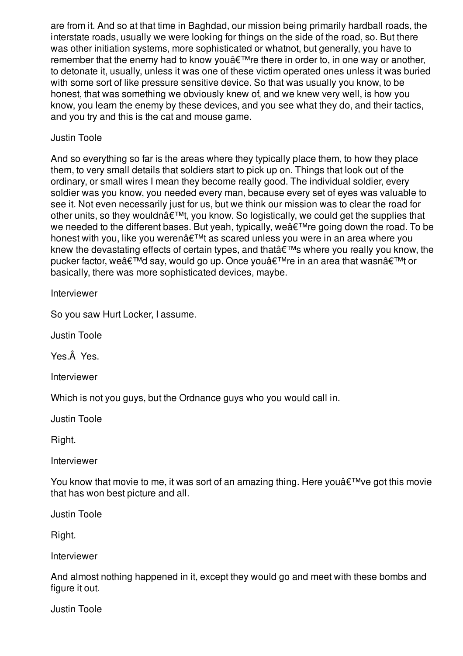are from it. And so at that time in Baghdad, our mission being primarily hardball roads, the interstate roads, usually we were looking for things on the side of the road, so. But there was other initiation systems, more sophisticated or whatnot, but generally, you have to remember that the enemy had to know you're there in order to, in one way or another, to detonate it, usually, unless it was one of these victim operated ones unless it was buried with some sort of like pressure sensitive device. So that was usually you know, to be honest, that was something we obviously knew of, and we knew very well, is how you know, you learn the enemy by these devices, and you see what they do, and their tactics, and you try and this is the cat and mouse game.

## Justin Toole

And so everything so far is the areas where they typically place them, to how they place them, to very small details that soldiers start to pick up on. Things that look out of the ordinary, or small wires I mean they become really good. The individual soldier, every soldier was you know, you needed every man, because every set of eyes was valuable to see it. Not even necessarily just for us, but we think our mission was to clear the road for other units, so they wouldn $\hat{\mathbf{a}} \in \mathbb{M}$ , you know. So logistically, we could get the supplies that we needed to the different bases. But yeah, typically, we're going down the road. To be honest with you, like you weren't as scared unless you were in an area where you knew the devastating effects of certain types, and that  $\hat{\mathbf{a}} \in \mathbb{M}$ s where you really you know, the pucker factor, we'd say, would go up. Once you're in an area that wasn't or basically, there was more sophisticated devices, maybe.

Interviewer

So you saw Hurt Locker, I assume.

Justin Toole

Yes.Â Yes.

Interviewer

Which is not you guys, but the Ordnance guys who you would call in.

Justin Toole

Right.

Interviewer

You know that movie to me, it was sort of an amazing thing. Here you  $\hat{\mathbf{z}}^{\text{TM}}$  ve got this movie that has won best picture and all.

Justin Toole

Right.

Interviewer

And almost nothing happened in it, except they would go and meet with these bombs and figure it out.

Justin Toole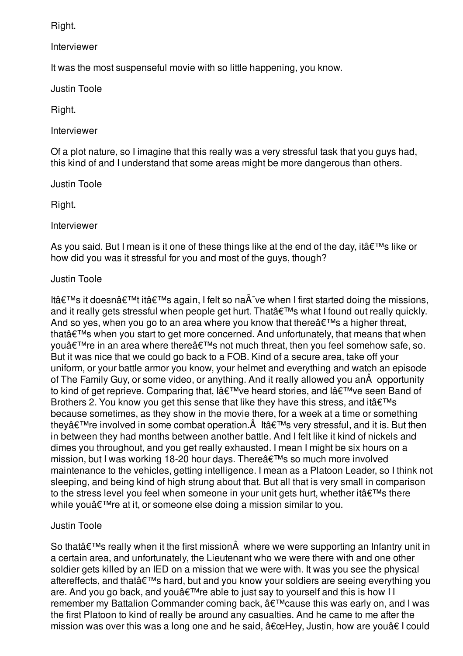Right.

Interviewer

It was the most suspenseful movie with so little happening, you know.

Justin Toole

Right.

Interviewer

Of a plot nature, so I imagine that this really was a very stressful task that you guys had, this kind of and I understand that some areas might be more dangerous than others.

Justin Toole

Right.

Interviewer

As you said. But I mean is it one of these things like at the end of the day, it  $\hat{\mathbf{a}} \in \mathbb{M}$ s like or how did you was it stressful for you and most of the guys, though?

# Justin Toole

Itâ $\epsilon$ <sup>TM</sup>s it doesnâ $\epsilon$ <sup>TM</sup>t itâ $\epsilon$ <sup>TM</sup>s again, I felt so na $\tilde{A}$  ve when I first started doing the missions, and it really gets stressful when people get hurt. That  $\hat{\mathbf{a}} \in \mathbb{R}^{m}$ s what I found out really quickly. And so yes, when you go to an area where you know that there  $\hat{\mathbf{a}} \in \mathbb{R}^{m}$ s a higher threat, that $\hat{\mathbf{a}} \in \mathbb{M}$  when you start to get more concerned. And unfortunately, that means that when you're in an area where there's not much threat, then you feel somehow safe, so. But it was nice that we could go back to a FOB. Kind of a secure area, take off your uniform, or your battle armor you know, your helmet and everything and watch an episode of The Family Guy, or some video, or anything. And it really allowed you anÂ opportunity to kind of get reprieve. Comparing that, I've heard stories, and I've seen Band of Brothers 2. You know you get this sense that like they have this stress, and it  $\hat{a} \in \mathbb{M}$ s because sometimes, as they show in the movie there, for a week at a time or something they $\hat{a} \in \mathbb{M}$  involved in some combat operation. $\hat{A}$  It $\hat{a} \in \mathbb{M}$ s very stressful, and it is. But then in between they had months between another battle. And I felt like it kind of nickels and dimes you throughout, and you get really exhausted. I mean I might be six hours on a mission, but I was working 18-20 hour days. There a€™s so much more involved maintenance to the vehicles, getting intelligence. I mean as a Platoon Leader, so I think not sleeping, and being kind of high strung about that. But all that is very small in comparison to the stress level you feel when someone in your unit gets hurt, whether it  $\hat{a} \in \mathbb{M}$ s there while you're at it, or someone else doing a mission similar to you.

# Justin Toole

So that  $\hat{\epsilon}$ <sup>TM</sup>s really when it the first mission  $\hat{A}$  where we were supporting an Infantry unit in a certain area, and unfortunately, the Lieutenant who we were there with and one other soldier gets killed by an IED on a mission that we were with. It was you see the physical aftereffects, and that's hard, but and you know your soldiers are seeing everything you are. And you go back, and you  $\hat{\theta} \in T^M$  re able to just say to yourself and this is how II remember my Battalion Commander coming back, ' cause this was early on, and I was the first Platoon to kind of really be around any casualties. And he came to me after the mission was over this was a long one and he said,  $"Hey, Justin, how are you†I could$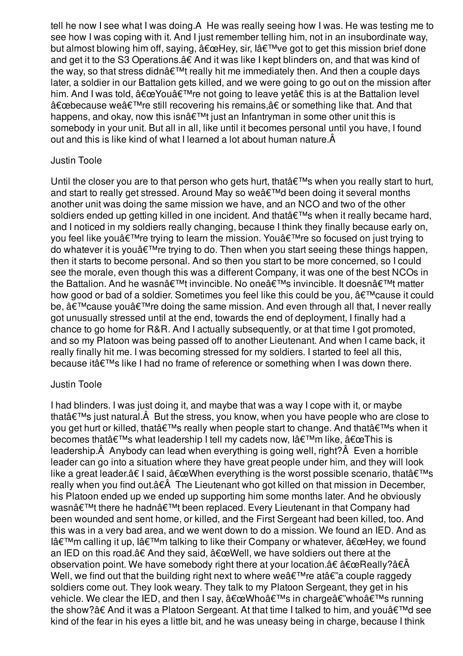tell he now I see what I was doing.Â He was really seeing how I was. He was testing me to see how I was coping with it. And I just remember telling him, not in an insubordinate way, but almost blowing him off, saying,  $\hat{a} \in \Omega$  be the sair,  $\hat{a} \in \Pi$  we got to get this mission brief done and get it to the S3 Operations.â€ And it was like I kept blinders on, and that was kind of the way, so that stress didnâ $\epsilon^{\text{TM}}$ t really hit me immediately then. And then a couple days later, a soldier in our Battalion gets killed, and we were going to go out on the mission after him. And I was told,  $â€ce$ You $'$ re not going to leave yet†this is at the Battalion level "because we're still recovering his remains,†or something like that. And that happens, and okay, now this isn $\hat{a} \in \mathbb{M}$ t just an Infantryman in some other unit this is somebody in your unit. But all in all, like until it becomes personal until you have, I found out and this is like kind of what I learned a lot about human nature.Â

## Justin Toole

Until the closer you are to that person who gets hurt, that  $\hat{\epsilon}$ <sup>TM</sup>s when you really start to hurt, and start to really get stressed. Around May so we'd been doing it several months another unit was doing the same mission we have, and an NCO and two of the other soldiers ended up getting killed in one incident. And that  $\hat{\theta} \in \mathbb{R}^{m}$ s when it really became hard, and I noticed in my soldiers really changing, because I think they finally because early on, you feel like you  $\hat{\mathbf{z}}^{\text{TM}}$  re trying to learn the mission. You  $\hat{\mathbf{z}}^{\text{TM}}$  re so focused on just trying to do whatever it is you  $\hat{\epsilon}^{\text{TM}}$ re trying to do. Then when you start seeing these things happen, then it starts to become personal. And so then you start to be more concerned, so I could see the morale, even though this was a different Company, it was one of the best NCOs in the Battalion. And he wasn $\hat{a} \in \mathbb{M}$ t invincible. No one $\hat{a} \in \mathbb{M}$ s invincible. It doesn $\hat{a} \in \mathbb{M}$ t matter how good or bad of a soldier. Sometimes you feel like this could be you,  $\hat{a} \in \mathbb{N}$  cause it could be,  $\hat{a} \in \mathbb{M}$  cause you $\hat{a} \in \mathbb{M}$  redoing the same mission. And even through all that, I never really got unusually stressed until at the end, towards the end of deployment, I finally had a chance to go home for R&R. And I actually subsequently, or at that time I got promoted, and so my Platoon was being passed off to another Lieutenant. And when I came back, it really finally hit me. I was becoming stressed for my soldiers. I started to feel all this, because it $\hat{\mathbf{a}} \in \mathbb{M}$ s like I had no frame of reference or something when I was down there.

## Justin Toole

I had blinders. I was just doing it, and maybe that was a way I cope with it, or maybe that  $\hat{\theta} \in \mathbb{R}^{m}$ s just natural. $\hat{A}$  But the stress, you know, when you have people who are close to you get hurt or killed, that  $\hat{\mathbf{a}} \in \mathbb{M}$ s really when people start to change. And that  $\hat{\mathbf{a}} \in \mathbb{M}$ s when it becomes that's what leadership I tell my cadets now, l'm like, "This is leadership.Â Anybody can lead when everything is going well, right?Â Even a horrible leader can go into a situation where they have great people under him, and they will look like a great leader. $\hat{a} \in I$  said,  $\hat{a} \in \infty$ When everything is the worst possible scenario, that $\hat{a} \in \infty$ really when you find out.â€Â The Lieutenant who got killed on that mission in December, his Platoon ended up we ended up supporting him some months later. And he obviously wasn't there he hadn't been replaced. Every Lieutenant in that Company had been wounded and sent home, or killed, and the First Sergeant had been killed, too. And this was in a very bad area, and we went down to do a mission. We found an IED. And as I'm calling it up, I'm talking to like their Company or whatever,  $\hat{a} \in \text{ceHey},$  we found an IED on this road.â€ And they said, "Well, we have soldiers out there at the observation point. We have somebody right there at your location. $\hat{a}\epsilon \hat{\alpha} \epsilon \hat{\alpha}$  and  $\hat{a}\epsilon \hat{\alpha}$ Well, we find out that the building right next to where we  $\hat{\mathbf{a}} \in \mathbb{R}^m$  a couple raggedy soldiers come out. They look weary. They talk to my Platoon Sergeant, they get in his vehicle. We clear the IED, and then I say,  $\hat{a} \in \mathbb{C}$ Who $\hat{a} \in \mathbb{N}$ s in charge $\hat{a} \in \mathbb{N}$ who $\hat{a} \in \mathbb{N}$ s running the show?†And it was a Platoon Sergeant. At that time I talked to him, and you'd see kind of the fear in his eyes a little bit, and he was uneasy being in charge, because I think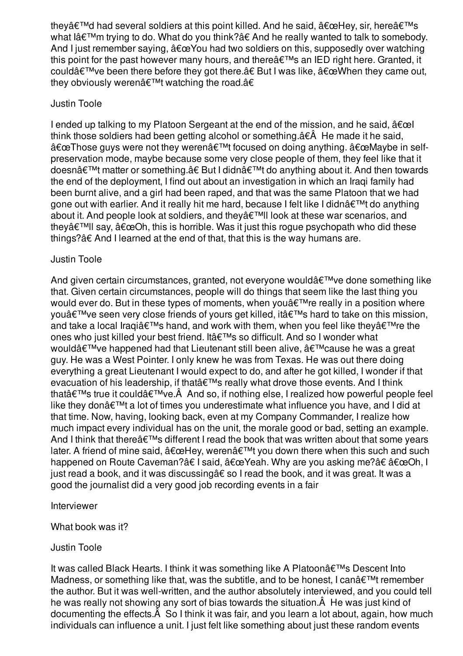they $\hat{\mathbf{a}} \in \mathbb{M}$  had several soldiers at this point killed. And he said,  $\hat{\mathbf{a}} \in \mathbb{C}$ Hey, sir, here $\hat{\mathbf{a}} \in \mathbb{M}$ s what l'm trying to do. What do you think?†And he really wanted to talk to somebody. And I just remember saying,  $\frac{\partial^2 f}{\partial x^2}$  had two soldiers on this, supposedly over watching this point for the past however many hours, and there $\hat{a} \in \mathbb{M}$ s an IED right here. Granted, it could $\hat{a} \in \mathbb{M}$  ve been there before they got there. $\hat{a} \in B$ ut I was like,  $\hat{a} \in \mathbb{C}$ When they came out, thev obviously weren't watching the road.â€

### Justin Toole

I ended up talking to my Platoon Sergeant at the end of the mission, and he said,  $\hat{a} \in \infty$ think those soldiers had been getting alcohol or something.â€Â He made it he said,  $\hat{a} \in \mathbb{C}$  Those guys were not they weren $\hat{a} \in \mathbb{C}^{\mathbb{N}}$  focused on doing anything.  $\hat{a} \in \mathbb{C}^{\mathbb{N}}$  and  $\hat{a} \in \mathbb{C}^{\mathbb{N}}$ preservation mode, maybe because some very close people of them, they feel like that it doesnâ€<sup>™</sup>t matter or something.†But I didn't do anything about it. And then towards the end of the deployment, I find out about an investigation in which an Iraqi family had been burnt alive, and a girl had been raped, and that was the same Platoon that we had gone out with earlier. And it really hit me hard, because I felt like I didn't do anything about it. And people look at soldiers, and they'II look at these war scenarios, and they $\hat{\mathcal{A}} \in \mathbb{M}$ l say,  $\hat{\mathcal{A}} \in \mathbb{C}$ , this is horrible. Was it just this roque psychopath who did these things?â€ And I learned at the end of that, that this is the way humans are.

## Justin Toole

And given certain circumstances, granted, not everyone would $\hat{a} \in \mathbb{M}$ ve done something like that. Given certain circumstances, people will do things that seem like the last thing you would ever do. But in these types of moments, when you $\hat{a} \in \mathbb{R}^N$  re really in a position where you $\hat{\mathbf{a}} \in \mathbb{M}$  ve seen very close friends of yours get killed, it  $\hat{\mathbf{a}} \in \mathbb{M}$ s hard to take on this mission, and take a local Iraqiâ $\epsilon^{TM}$ s hand, and work with them, when you feel like theyâ $\epsilon^{TM}$ re the ones who just killed your best friend. It's so difficult. And so I wonder what would $\hat{a} \in T^{M}$ ve happened had that Lieutenant still been alive,  $\hat{a} \in T^{M}$ cause he was a great guy. He was a West Pointer. I only knew he was from Texas. He was out there doing everything a great Lieutenant I would expect to do, and after he got killed, I wonder if that evacuation of his leadership, if that's really what drove those events. And I think that $\hat{\mathbf{a}} \in \mathbb{M}$ s true it could $\hat{\mathbf{a}} \in \mathbb{M}$  and so, if nothing else, I realized how powerful people feel like they don $\hat{a} \in \mathbb{M}$ t a lot of times you underestimate what influence you have, and I did at that time. Now, having, looking back, even at my Company Commander, I realize how much impact every individual has on the unit, the morale good or bad, setting an example. And I think that there $\hat{a} \in \mathbb{M}$ s different I read the book that was written about that some years later. A friend of mine said,  $\hat{a} \in \text{ceHey}$ , weren $\hat{a} \in \text{cm}$  you down there when this such and such happened on Route Caveman?†I said,  $â€@Yeah$ . Why are you asking me?† $â€@Oh, I$ just read a book, and it was discussingâ€ so I read the book, and it was great. It was a good the journalist did a very good job recording events in a fair

### Interviewer

What book was it?

## Justin Toole

It was called Black Hearts. I think it was something like A Platoon's Descent Into Madness, or something like that, was the subtitle, and to be honest, I can $\hat{a} \in \text{TM}$  remember the author. But it was well-written, and the author absolutely interviewed, and you could tell he was really not showing any sort of bias towards the situation.Â He was just kind of documenting the effects.Â So I think it was fair, and you learn a lot about, again, how much individuals can influence a unit. I just felt like something about just these random events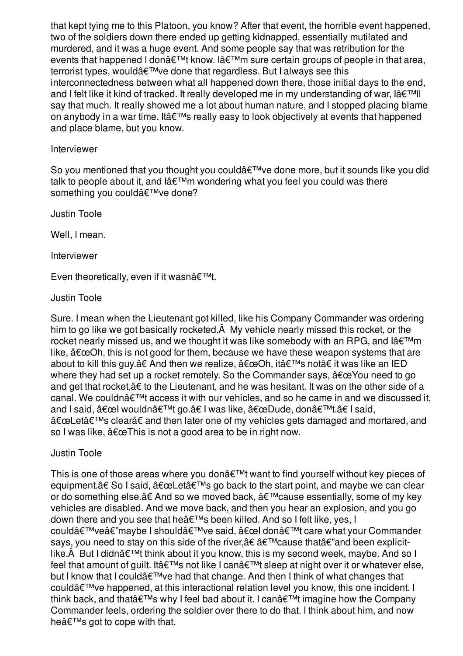that kept tying me to this Platoon, you know? After that event, the horrible event happened, two of the soldiers down there ended up getting kidnapped, essentially mutilated and murdered, and it was a huge event. And some people say that was retribution for the events that happened I don't know. I'm sure certain groups of people in that area, terrorist types, would've done that regardless. But I always see this interconnectedness between what all happened down there, those initial days to the end, and I felt like it kind of tracked. It really developed me in my understanding of war,  $\left|\hat{a}\right| \in \mathbb{N}$ ll say that much. It really showed me a lot about human nature, and I stopped placing blame on anybody in a war time. It at  $T^M$ s really easy to look objectively at events that happened and place blame, but you know.

### Interviewer

So you mentioned that you thought you could  $\hat{\theta} \in \mathbb{R}^N$  ve done more, but it sounds like you did talk to people about it, and  $\hat{a} \in \mathbb{M}$ m wondering what you feel you could was there something you could've done?

Justin Toole

Well, I mean.

Interviewer

Even theoretically, even if it wasn $\hat{a} \in \text{TM}$ .

Justin Toole

Sure. I mean when the Lieutenant got killed, like his Company Commander was ordering him to go like we got basically rocketed.Â My vehicle nearly missed this rocket, or the rocket nearly missed us, and we thought it was like somebody with an RPG, and lâ $\epsilon^{\text{TM}}$ m like,  $\hat{a}\epsilon$  ceOh, this is not good for them, because we have these weapon systems that are about to kill this guy.†And then we realize, "Oh, it's not†it was like an IED where they had set up a rocket remotely. So the Commander says,  $\hat{a} \in \mathbb{C}$  You need to go and get that rocket,â€ to the Lieutenant, and he was hesitant. It was on the other side of a canal. We couldn $\hat{\mathbf{a}} \in \mathbb{M}^d$  access it with our vehicles, and so he came in and we discussed it, and I said,  $\hat{a} \in \text{ce}$ l wouldn $\hat{a} \in I^{\mathsf{M}}$ t go.†I was like,  $\hat{a} \in \text{ceD}$ ude, don $\hat{a} \in I^{\mathsf{M}}$ t.†I said, "Let's clear†and then later one of my vehicles gets damaged and mortared, and so I was like,  $\hat{a} \in \mathbb{C}$ This is not a good area to be in right now.

## Justin Toole

This is one of those areas where you don $\hat{\mathbf{a}} \in \mathbb{M}$  want to find yourself without key pieces of equipment.†So I said,  $\hat{a} \in \text{ceLeft}^{\text{TM}}$ s go back to the start point, and maybe we can clear or do something else. $\hat{a}\in A$ nd so we moved back,  $\hat{a}\in I^M$ cause essentially, some of my key vehicles are disabled. And we move back, and then you hear an explosion, and you go down there and you see that he's been killed. And so I felt like, yes, I could'veâ€"maybe I should've said, "l don't care what your Commander says, you need to stay on this side of the river, a e a  $\epsilon$ ™ cause that a e"and been explicitlike. $\hat{A}$  But I didn $\hat{a} \in \mathbb{M}$ t think about it you know, this is my second week, maybe. And so I feel that amount of guilt. It at  $T^M$ s not like I can at  $T^M$ t sleep at night over it or whatever else, but I know that I could've had that change. And then I think of what changes that could've happened, at this interactional relation level you know, this one incident. I think back, and that  $\hat{\mathbf{a}} \in \mathbb{M}$ s why I feel bad about it. I can $\hat{\mathbf{a}} \in \mathbb{M}$ t imagine how the Company Commander feels, ordering the soldier over there to do that. I think about him, and now he $\hat{a} \in \mathbb{M}$ s got to cope with that.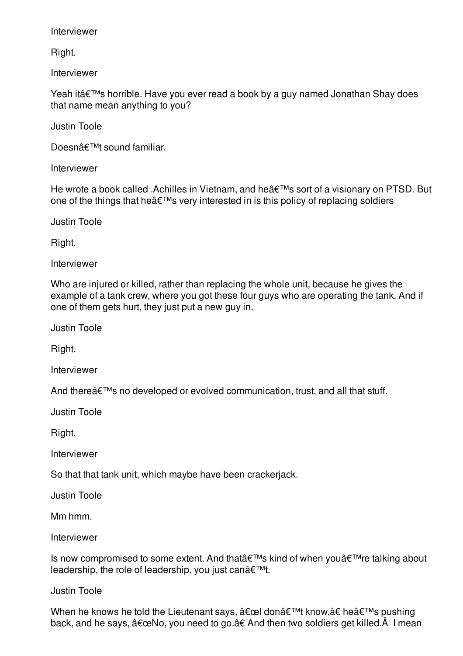Interviewer

Right.

Interviewer

Yeah it's horrible. Have you ever read a book by a guy named Jonathan Shay does that name mean anything to you?

Justin Toole

Doesn't sound familiar.

Interviewer

He wrote a book called .Achilles in Vietnam, and he's sort of a visionary on PTSD. But one of the things that he $\hat{a} \in \mathbb{M}$ s very interested in is this policy of replacing soldiers

Justin Toole

Right.

Interviewer

Who are injured or killed, rather than replacing the whole unit, because he gives the example of a tank crew, where you got these four guys who are operating the tank. And if one of them gets hurt, they just put a new guy in.

Justin Toole

Right.

Interviewer

And there $\hat{a} \in \mathbb{M}$ s no developed or evolved communication, trust, and all that stuff.

Justin Toole

Right.

Interviewer

So that that tank unit, which maybe have been crackerjack.

Justin Toole

Mm hmm.

Interviewer

Is now compromised to some extent. And that  $\hat{\theta} \in \mathbb{M}$ s kind of when you  $\hat{\theta} \in \mathbb{M}$ re talking about leadership, the role of leadership, you just can $\hat{a} \in \text{TM}$ .

### Justin Toole

When he knows he told the Lieutenant says, "l don't know,†he's pushing back, and he says,  $\hat{a} \in \mathbb{C}$ No, you need to go. $\hat{a} \in A$ nd then two soldiers get killed. $\hat{A}$  I mean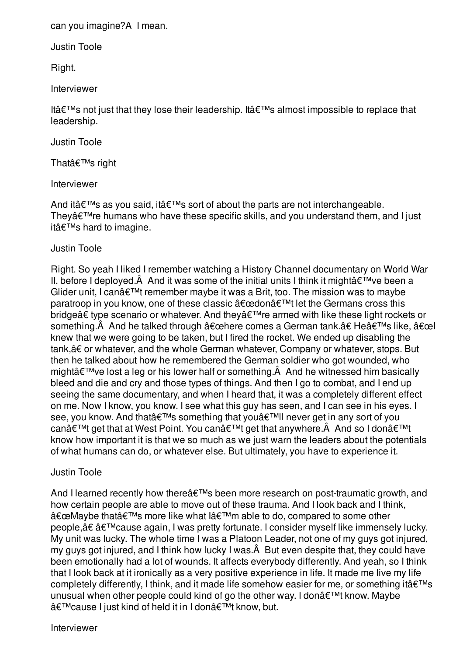can you imagine?Â I mean.

Justin Toole

Right.

Interviewer

Itâ $\epsilon$ <sup>TM</sup>s not just that they lose their leadership. Itâ $\epsilon$ <sup>TM</sup>s almost impossible to replace that leadership.

Justin Toole

That's right

Interviewer

And it $a \in TM$ s as you said, it $a \in TM$ s sort of about the parts are not interchangeable. They $\hat{\mathbf{a}} \in \mathbb{M}$  re humans who have these specific skills, and you understand them, and I just it's hard to imagine.

# Justin Toole

Right. So yeah I liked I remember watching a History Channel documentary on World War II, before I deployed. $\hat{A}$  And it was some of the initial units I think it might $\hat{a} \in \text{TM}$ ve been a Glider unit, I can $\hat{\mathcal{A}} \in \mathbb{R}^{n+1}$  remember maybe it was a Brit, too. The mission was to maybe paratroop in you know, one of these classic "don't let the Germans cross this bridge†type scenario or whatever. And they're armed with like these light rockets or something. And he talked through "here comes a German tank.†He's like, "l knew that we were going to be taken, but I fired the rocket. We ended up disabling the tank,â€ or whatever, and the whole German whatever, Company or whatever, stops. But then he talked about how he remembered the German soldier who got wounded, who might $\hat{a} \in \mathbb{M}$ ve lost a leg or his lower half or something. $\hat{A}$  And he witnessed him basically bleed and die and cry and those types of things. And then I go to combat, and I end up seeing the same documentary, and when I heard that, it was a completely different effect on me. Now I know, you know. I see what this guy has seen, and I can see in his eyes. I see, you know. And that's something that you'II never get in any sort of you canâ€<sup>™t</sup> get that at West Point. You can't get that anywhere. And so I don't know how important it is that we so much as we just warn the leaders about the potentials of what humans can do, or whatever else. But ultimately, you have to experience it.

## Justin Toole

And I learned recently how there  $\hat{\mathbf{a}} \in \mathbb{R}^{T M}$ s been more research on post-traumatic growth, and how certain people are able to move out of these trauma. And I look back and I think, "Maybe that's more like what l'm able to do, compared to some other people,†â€™cause again, I was pretty fortunate. I consider myself like immensely lucky. My unit was lucky. The whole time I was a Platoon Leader, not one of my guys got injured, my guys got injured, and I think how lucky I was.Â But even despite that, they could have been emotionally had a lot of wounds. It affects everybody differently. And yeah, so I think that I look back at it ironically as a very positive experience in life. It made me live my life completely differently, I think, and it made life somehow easier for me, or something it  $\hat{\mathbf{a}} \in \mathbb{N}$ s unusual when other people could kind of go the other way. I don't know. Maybe 'cause I just kind of held it in I don't know, but.

Interviewer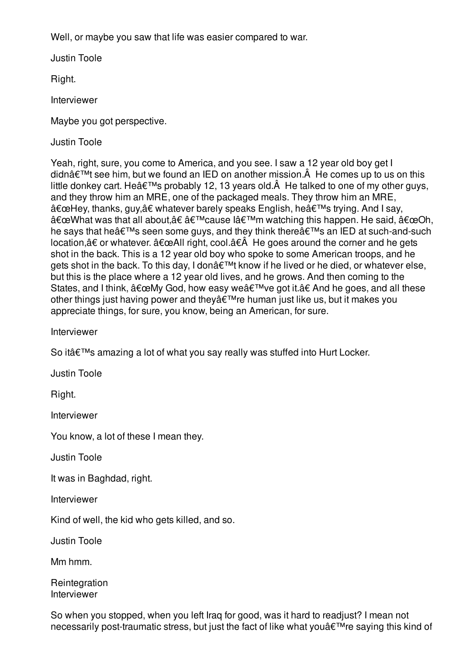Well, or maybe you saw that life was easier compared to war.

Justin Toole

Right.

Interviewer

Maybe you got perspective.

Justin Toole

Yeah, right, sure, you come to America, and you see. I saw a 12 year old boy get I didn $\hat{\mathbf{a}} \in \mathbb{M}$  see him, but we found an IED on another mission. $\hat{A}$  He comes up to us on this little donkey cart. He $\hat{a} \in \mathbb{M}$ s probably 12, 13 years old. $\hat{A}$  He talked to one of my other guys, and they throw him an MRE, one of the packaged meals. They throw him an MRE, "Hey, thanks, guy,†whatever barely speaks English, he's trying. And I say, "What was that all about,†â€™cause l'm watching this happen. He said, "Oh, he says that he's seen some guys, and they think there and IED at such-and-such location, $\hat{a} \epsilon$  or whatever.  $\hat{a} \epsilon \in \Delta$ ll right, cool. $\hat{a} \epsilon \hat{A}$  He goes around the corner and he gets shot in the back. This is a 12 year old boy who spoke to some American troops, and he gets shot in the back. To this day, I don't know if he lived or he died, or whatever else, but this is the place where a 12 year old lives, and he grows. And then coming to the States, and I think,  $â€ceMy God$ , how easy we $â€<sup>TM</sup>ve got it.†And he goes, and all these$ other things just having power and they're human just like us, but it makes you appreciate things, for sure, you know, being an American, for sure.

Interviewer

So it's amazing a lot of what you say really was stuffed into Hurt Locker.

Justin Toole

Right.

Interviewer

You know, a lot of these I mean they.

Justin Toole

It was in Baghdad, right.

Interviewer

Kind of well, the kid who gets killed, and so.

Justin Toole

Mm hmm.

**Reintegration** Interviewer

So when you stopped, when you left Iraq for good, was it hard to readjust? I mean not necessarily post-traumatic stress, but just the fact of like what you a€<sup>™</sup>re saying this kind of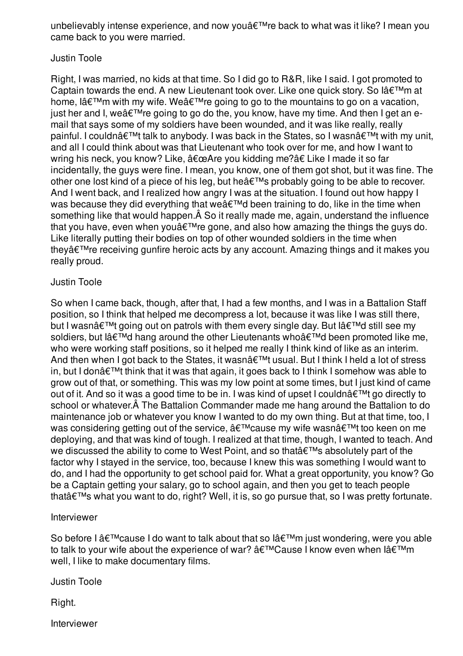unbelievably intense experience, and now you're back to what was it like? I mean you came back to you were married.

## Justin Toole

Right, I was married, no kids at that time. So I did go to R&R, like I said. I got promoted to Captain towards the end. A new Lieutenant took over. Like one quick story. So lâ $\epsilon \tau$ <sup>M</sup>m at home, lâ $\epsilon^{TM}$ m with my wife. Weâ $\epsilon^{TM}$ re going to go to the mountains to go on a vacation, just her and I, we  $\hat{\mathbf{a}} \in \mathbb{M}$  and the going to go do the, you know, have my time. And then I get an email that says some of my soldiers have been wounded, and it was like really, really painful. I couldn $\hat{a} \in \mathbb{M}$  talk to anybody. I was back in the States, so I wasn $\hat{a} \in \mathbb{M}$  with my unit, and all I could think about was that Lieutenant who took over for me, and how I want to wring his neck, you know? Like,  $"Are$  you kidding me?†Like I made it so far incidentally, the guys were fine. I mean, you know, one of them got shot, but it was fine. The other one lost kind of a piece of his leg, but he's probably going to be able to recover. And I went back, and I realized how angry I was at the situation. I found out how happy I was because they did everything that we  $\hat{\mathbf{a}} \in \mathbb{M}$  been training to do, like in the time when something like that would happen.Â So it really made me, again, understand the influence that you have, even when you  $\hat{\mathbf{z}}^{\text{TM}}$  regone, and also how amazing the things the guys do. Like literally putting their bodies on top of other wounded soldiers in the time when they're receiving gunfire heroic acts by any account. Amazing things and it makes you really proud.

## Justin Toole

So when I came back, though, after that, I had a few months, and I was in a Battalion Staff position, so I think that helped me decompress a lot, because it was like I was still there, but I wasn $\hat{a} \in \mathbb{M}$  going out on patrols with them every single day. But I $\hat{a} \in \mathbb{M}$ d still see my soldiers, but lâ $\epsilon^{\text{TM}}$ d hang around the other Lieutenants whoâ $\epsilon^{\text{TM}}$ d been promoted like me, who were working staff positions, so it helped me really I think kind of like as an interim. And then when I got back to the States, it wasn $\hat{a} \in \mathbb{M}$ t usual. But I think I held a lot of stress in, but I don $\hat{a} \in \mathbb{M}$ t think that it was that again, it goes back to I think I somehow was able to grow out of that, or something. This was my low point at some times, but I just kind of came out of it. And so it was a good time to be in. I was kind of upset I couldn $\hat{a} \in \mathbb{M}$ t go directly to school or whatever.Â The Battalion Commander made me hang around the Battalion to do maintenance job or whatever you know I wanted to do my own thing. But at that time, too, I was considering getting out of the service, 'cause my wife wasna €™t too keen on me deploying, and that was kind of tough. I realized at that time, though, I wanted to teach. And we discussed the ability to come to West Point, and so that's absolutely part of the factor why I stayed in the service, too, because I knew this was something I would want to do, and I had the opportunity to get school paid for. What a great opportunity, you know? Go be a Captain getting your salary, go to school again, and then you get to teach people that's what you want to do, right? Well, it is, so go pursue that, so I was pretty fortunate.

## Interviewer

So before I  $\hat{a} \in \mathbb{M}$  cause I do want to talk about that so  $\hat{a} \in \mathbb{M}$ m just wondering, were you able to talk to your wife about the experience of war?  $\hat{a} \in T^{M}$ Cause I know even when  $\hat{a} \in T^{M}$ m well, I like to make documentary films.

Justin Toole

Right.

Interviewer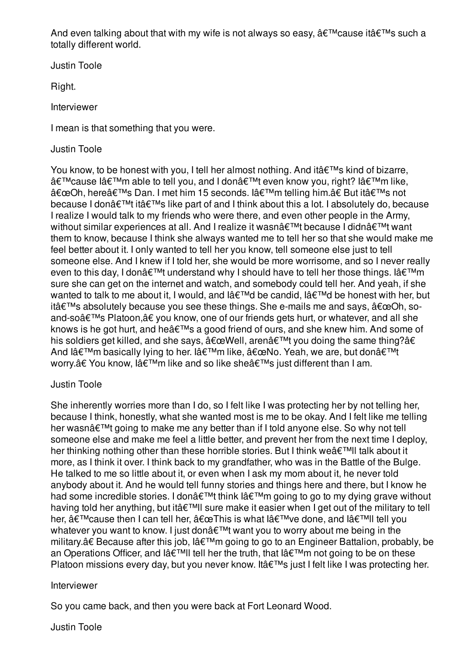And even talking about that with my wife is not always so easy,  $\hat{a} \in \mathbb{M}$  cause it  $\hat{a} \in \mathbb{M}$ s such a totally different world.

Justin Toole

Right.

Interviewer

I mean is that something that you were.

# Justin Toole

You know, to be honest with you, I tell her almost nothing. And it  $\hat{\theta} \in \mathbb{R}^N$  kind of bizarre, 'cause l'm able to tell you, and I don't even know you, right? l'm like, "Oh, here's Dan. I met him 15 seconds. I'm telling him.†But it's not because I donâ€<sup>™</sup>t it's like part of and I think about this a lot. I absolutely do, because I realize I would talk to my friends who were there, and even other people in the Army, without similar experiences at all. And I realize it wasn't because I didn't want them to know, because I think she always wanted me to tell her so that she would make me feel better about it. I only wanted to tell her you know, tell someone else just to tell someone else. And I knew if I told her, she would be more worrisome, and so I never really even to this day, I don $\hat{\mathbf{a}} \in \mathbb{M}$ t understand why I should have to tell her those things. I $\hat{\mathbf{a}} \in \mathbb{M}$ m sure she can get on the internet and watch, and somebody could tell her. And yeah, if she wanted to talk to me about it, I would, and  $I\hat{a} \in T^{M}$ d be candid,  $I\hat{a} \in T^{M}$ d be honest with her, but it's absolutely because you see these things. She e-mails me and says,  $â€æOh, so$ and-so's Platoon,†you know, one of our friends gets hurt, or whatever, and all she knows is he got hurt, and he's a good friend of ours, and she knew him. And some of his soldiers get killed, and she says,  $\hat{a} \in \mathbb{C} \mathbb{W}$ ell, aren $\hat{a} \in \mathbb{M}$ t you doing the same thing?â€ And l'm basically lying to her. I'm like, "No. Yeah, we are, but don't worry.†You know, l'm like and so like she's just different than I am.

## Justin Toole

She inherently worries more than I do, so I felt like I was protecting her by not telling her. because I think, honestly, what she wanted most is me to be okay. And I felt like me telling her wasn't going to make me any better than if I told anyone else. So why not tell someone else and make me feel a little better, and prevent her from the next time I deploy, her thinking nothing other than these horrible stories. But I think we  $\hat{a} \in \mathbb{R}^{n}$ ll talk about it more, as I think it over. I think back to my grandfather, who was in the Battle of the Bulge. He talked to me so little about it, or even when I ask my mom about it, he never told anybody about it. And he would tell funny stories and things here and there, but I know he had some incredible stories. I don $\hat{\mathbf{a}} \in \mathbb{M}$ t think  $\hat{\mathbf{a}} \in \mathbb{M}$ m going to go to my dying grave without having told her anything, but it at  $W$ ll sure make it easier when I get out of the military to tell her,  $\hat{a} \in \mathbb{M}$  cause then I can tell her,  $\hat{a} \in \mathbb{C}$  at is what I $\hat{a} \in \mathbb{M}$ ve done, and I $\hat{a} \in \mathbb{M}$ I tell you whatever you want to know. I just don $\hat{\mathbf{a}} \in \mathbb{M}$  want you to worry about me being in the military.†Because after this job, lâ€<sup>™</sup>m going to go to an Engineer Battalion, probably, be an Operations Officer, and lâ $\epsilon^{TM}$ Il tell her the truth, that lâ $\epsilon^{TM}$ m not going to be on these Platoon missions every day, but you never know. It's just I felt like I was protecting her.

## Interviewer

So you came back, and then you were back at Fort Leonard Wood.

## Justin Toole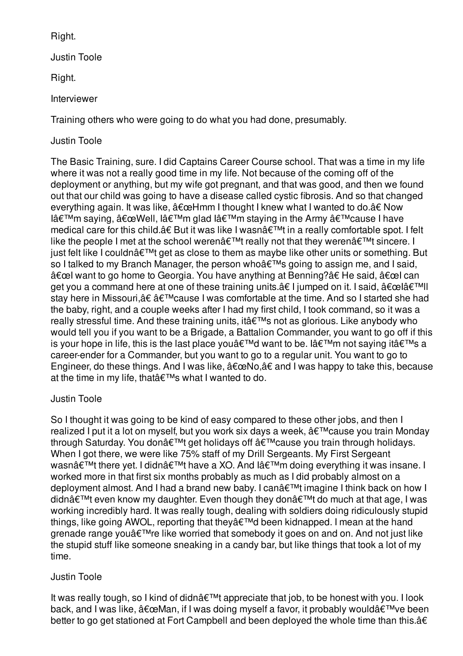Right.

Justin Toole

Right.

Interviewer

Training others who were going to do what you had done, presumably.

# Justin Toole

The Basic Training, sure. I did Captains Career Course school. That was a time in my life where it was not a really good time in my life. Not because of the coming off of the deployment or anything, but my wife got pregnant, and that was good, and then we found out that our child was going to have a disease called cystic fibrosis. And so that changed everything again. It was like,  $â€ceHmm I$  thought I knew what I wanted to do.†Now I'm saying, "Well, I'm glad I'm staying in the Army 'cause I have medical care for this child.†But it was like I wasnâ€<sup>™</sup>t in a really comfortable spot. I felt like the people I met at the school weren $\hat{a} \in \mathbb{M}$ t really not that they weren $\hat{a} \in \mathbb{M}$ t sincere. I iust felt like I couldn $\hat{a} \in \mathbb{M}$ t get as close to them as maybe like other units or something. But so I talked to my Branch Manager, the person who's going to assign me, and I said, "l want to go home to Georgia. You have anything at Benning?†He said, "l can get you a command here at one of these training units.†I jumped on it. I said, "lâ€<sup>™II</sup>l stay here in Missouri,†â€™cause I was comfortable at the time. And so I started she had the baby, right, and a couple weeks after I had my first child, I took command, so it was a really stressful time. And these training units, it's not as glorious. Like anybody who would tell you if you want to be a Brigade, a Battalion Commander, you want to go off if this is your hope in life, this is the last place you  $\hat{\theta} \in \mathbb{M}$  want to be. I  $\hat{\theta} \in \mathbb{M}$  not saying it  $\hat{\theta} \in \mathbb{M}$  s a career-ender for a Commander, but you want to go to a regular unit. You want to go to Engineer, do these things. And I was like,  $\hat{a} \in \Omega$  and I was happy to take this, because at the time in my life, that  $\hat{\mathbf{a}} \in \mathbb{R}^{T M}$ s what I wanted to do.

# Justin Toole

So I thought it was going to be kind of easy compared to these other jobs, and then I realized I put it a lot on myself, but you work six days a week,  $\hat{a} \in \mathbb{M}$ cause you train Monday through Saturday. You don't get holidays off 'cause you train through holidays. When I got there, we were like 75% staff of my Drill Sergeants. My First Sergeant wasnâ€<sup>™</sup>t there yet. I didnâ€<sup>™</sup>t have a XO. And I'm doing everything it was insane. I worked more in that first six months probably as much as I did probably almost on a deployment almost. And I had a brand new baby. I can't imagine I think back on how I didnâ€<sup>™</sup>t even know my daughter. Even though they don't do much at that age, I was working incredibly hard. It was really tough, dealing with soldiers doing ridiculously stupid things, like going AWOL, reporting that they  $\hat{\mathbf{a}} \in \mathbb{R}^{T}$  been kidnapped. I mean at the hand grenade range you're like worried that somebody it goes on and on. And not just like the stupid stuff like someone sneaking in a candy bar, but like things that took a lot of my time.

# Justin Toole

It was really tough, so I kind of didn $\hat{\mathbf{a}} \in \mathbb{M}$  appreciate that job, to be honest with you. I look back, and I was like,  $\hat{a} \in \mathbb{C}$ Man, if I was doing myself a favor, it probably would $\hat{a} \in \mathbb{M}$ ve been better to go get stationed at Fort Campbell and been deployed the whole time than this.â€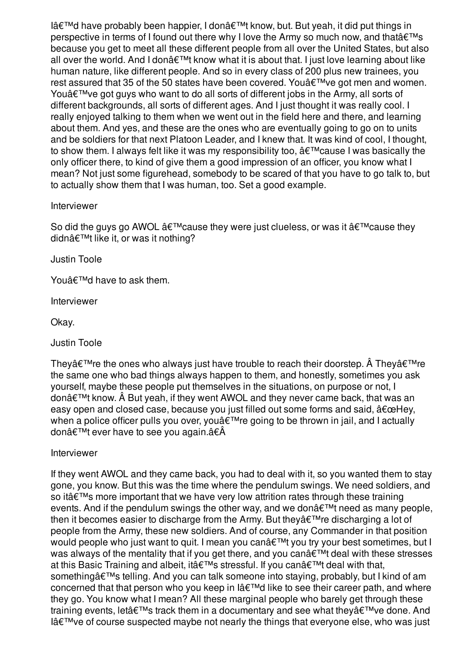I'd have probably been happier, I don't know, but. But yeah, it did put things in perspective in terms of I found out there why I love the Army so much now, and that  $\hat{\mathbf{a}} \in \mathbb{M}$ s because you get to meet all these different people from all over the United States, but also all over the world. And I don't know what it is about that. I just love learning about like human nature, like different people. And so in every class of 200 plus new trainees, you rest assured that 35 of the 50 states have been covered. You  $\hat{a} \in \mathbb{R}^N$  ve got men and women. You $\hat{\mathcal{A}} \in \mathbb{R}^m$  ve got guys who want to do all sorts of different jobs in the Army, all sorts of different backgrounds, all sorts of different ages. And I just thought it was really cool. I really enjoyed talking to them when we went out in the field here and there, and learning about them. And yes, and these are the ones who are eventually going to go on to units and be soldiers for that next Platoon Leader, and I knew that. It was kind of cool, I thought, to show them. I always felt like it was my responsibility too,  $\hat{a} \in \mathbb{M}$  cause I was basically the only officer there, to kind of give them a good impression of an officer, you know what I mean? Not just some figurehead, somebody to be scared of that you have to go talk to, but to actually show them that I was human, too. Set a good example.

### Interviewer

So did the guys go AWOL  $\hat{a} \in \mathbb{M}$  cause they were just clueless, or was it  $\hat{a} \in \mathbb{M}$  cause they didn $\hat{\mathbf{a}} \in \mathbb{M}$ t like it, or was it nothing?

Justin Toole

You $\hat{a} \in \text{TM}$ d have to ask them.

Interviewer

Okay.

Justin Toole

They $\hat{a} \in T^M$ re the ones who always just have trouble to reach their doorstep.  $\hat{A}$  They $\hat{a} \in T^M$ re the same one who bad things always happen to them, and honestly, sometimes you ask yourself, maybe these people put themselves in the situations, on purpose or not, I don $\hat{\mathbf{\alpha}} \in \mathbb{R}^{m}$ t know.  $\hat{\mathbf{A}}$  But yeah, if they went AWOL and they never came back, that was an easy open and closed case, because you just filled out some forms and said,  $\hat{a} \in \text{ceHey},$ when a police officer pulls you over, you're going to be thrown in jail, and I actually don't ever have to see you again.â€Â

Interviewer

If they went AWOL and they came back, you had to deal with it, so you wanted them to stay gone, you know. But this was the time where the pendulum swings. We need soldiers, and so it at  $T^M$ s more important that we have very low attrition rates through these training events. And if the pendulum swings the other way, and we don $\hat{\mathbf{a}} \in \mathbb{M}$ t need as many people, then it becomes easier to discharge from the Army. But they $\hat{a} \in \mathbb{R}^N$ re discharging a lot of people from the Army, these new soldiers. And of course, any Commander in that position would people who just want to quit. I mean you can't you try your best sometimes, but I was always of the mentality that if you get there, and you can $\hat{a} \in \mathbb{M}$ t deal with these stresses at this Basic Training and albeit, it  $\hat{\mathbf{a}} \in \mathbb{M}$ s stressful. If you can $\hat{\mathbf{a}} \in \mathbb{M}$ t deal with that, something a€<sup>TM</sup>s telling. And you can talk someone into staying, probably, but I kind of am concerned that that person who you keep in l'd like to see their career path, and where they go. You know what I mean? All these marginal people who barely get through these training events, let  $\hat{\mathbf{a}} \in \mathbb{R}^{T}$  track them in a documentary and see what they  $\hat{\mathbf{a}} \in \mathbb{R}^{T}$  ve done. And  $I\hat{a} \in I^M$ ve of course suspected maybe not nearly the things that everyone else, who was just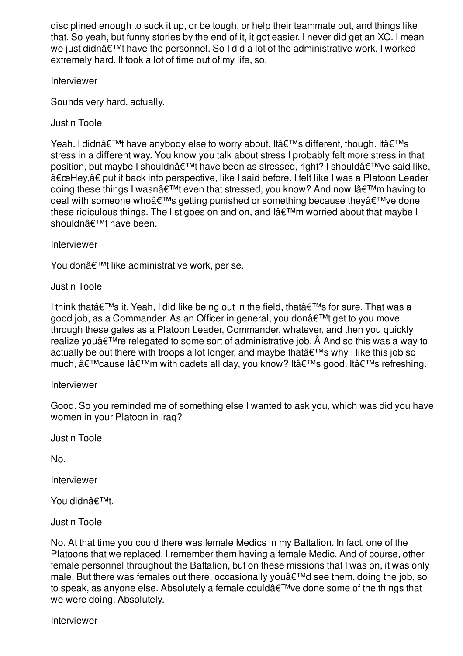disciplined enough to suck it up, or be tough, or help their teammate out, and things like that. So yeah, but funny stories by the end of it, it got easier. I never did get an XO. I mean we just didn $\hat{a} \in \mathbb{M}$ t have the personnel. So I did a lot of the administrative work. I worked extremely hard. It took a lot of time out of my life, so.

Interviewer

Sounds very hard, actually.

Justin Toole

Yeah. I didn't have anybody else to worry about. It's different, though. It's stress in a different way. You know you talk about stress I probably felt more stress in that position, but maybe I shouldn't have been as stressed, right? I should've said like, "Hey,†put it back into perspective, like I said before. I felt like I was a Platoon Leader doing these things I wasn't even that stressed, you know? And now l'm having to deal with someone who  $\hat{\mathbf{a}} \in \mathbb{R}^{T}$  getting punished or something because they  $\hat{\mathbf{a}} \in \mathbb{R}^{T}$  ve done these ridiculous things. The list goes on and on, and  $I \lor \neg \mathbb{R}^m$  worried about that maybe I shouldn't have been.

Interviewer

You don't like administrative work, per se.

Justin Toole

I think that $\hat{a} \in \mathbb{M}$ s it. Yeah, I did like being out in the field, that $\hat{a} \in \mathbb{M}$ s for sure. That was a good job, as a Commander. As an Officer in general, you don't get to you move through these gates as a Platoon Leader, Commander, whatever, and then you quickly realize you $\hat{a} \in \mathbb{M}$ re relegated to some sort of administrative job.  $\hat{A}$  And so this was a way to actually be out there with troops a lot longer, and maybe that  $\hat{\theta} \in \mathbb{R}^{m}$  why I like this job so much,  $\hat{a} \in I^{M}$ cause I $\hat{a} \in I^{M}$ m with cadets all day, you know? It $\hat{a} \in I^{M}$ s good. It $\hat{a} \in I^{M}$ s refreshing.

Interviewer

Good. So you reminded me of something else I wanted to ask you, which was did you have women in your Platoon in Iraq?

Justin Toole

No.

Interviewer

You didn't.

Justin Toole

No. At that time you could there was female Medics in my Battalion. In fact, one of the Platoons that we replaced, I remember them having a female Medic. And of course, other female personnel throughout the Battalion, but on these missions that I was on, it was only male. But there was females out there, occasionally you'd see them, doing the job, so to speak, as anyone else. Absolutely a female could $\hat{a} \in \mathbb{N}$  ve done some of the things that we were doing. Absolutely.

Interviewer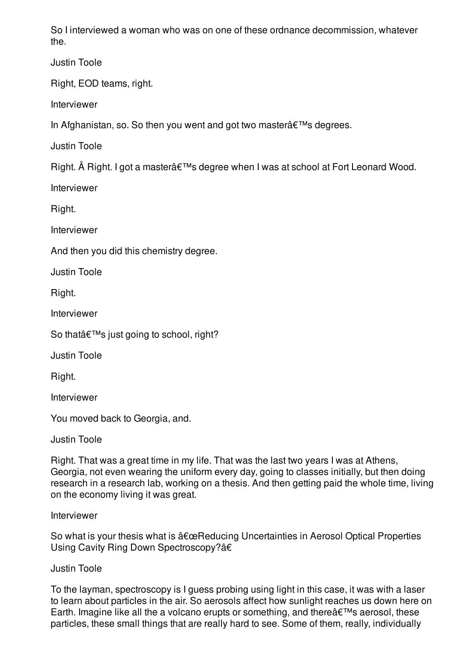So I interviewed a woman who was on one of these ordnance decommission, whatever the.

Justin Toole

Right, EOD teams, right.

Interviewer

In Afghanistan, so. So then you went and got two master $\hat{a} \in \mathbb{M}$ s degrees.

Justin Toole

Right.  $\hat{A}$  Right. I got a master $\hat{a} \in \mathbb{M}$ s degree when I was at school at Fort Leonard Wood.

Interviewer

Right.

Interviewer

And then you did this chemistry degree.

Justin Toole

Right.

Interviewer

So that  $\hat{\epsilon}$ <sup>TM</sup>s just going to school, right?

Justin Toole

Right.

Interviewer

You moved back to Georgia, and.

Justin Toole

Right. That was a great time in my life. That was the last two years I was at Athens, Georgia, not even wearing the uniform every day, going to classes initially, but then doing research in a research lab, working on a thesis. And then getting paid the whole time, living on the economy living it was great.

## Interviewer

So what is your thesis what is "Reducing Uncertainties in Aerosol Optical Properties Using Cavity Ring Down Spectroscopy?â€

## Justin Toole

To the layman, spectroscopy is I guess probing using light in this case, it was with a laser to learn about particles in the air. So aerosols affect how sunlight reaches us down here on Earth. Imagine like all the a volcano erupts or something, and there $\hat{a} \in \mathbb{M}$ s aerosol, these particles, these small things that are really hard to see. Some of them, really, individually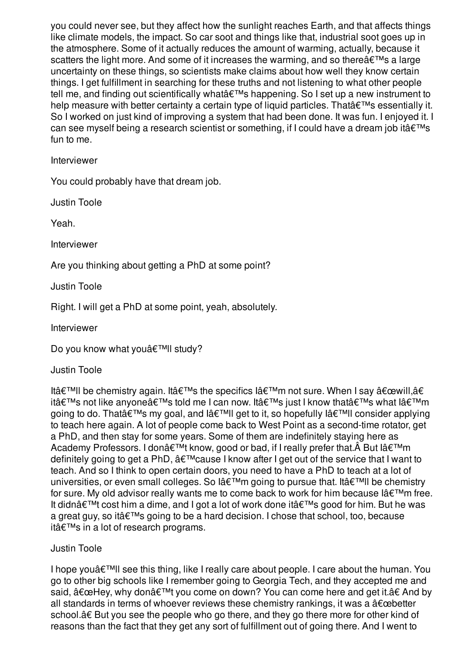you could never see, but they affect how the sunlight reaches Earth, and that affects things like climate models, the impact. So car soot and things like that, industrial soot goes up in the atmosphere. Some of it actually reduces the amount of warming, actually, because it scatters the light more. And some of it increases the warming, and so there  $\hat{a} \in \mathbb{M}$ s a large uncertainty on these things, so scientists make claims about how well they know certain things. I get fulfillment in searching for these truths and not listening to what other people tell me, and finding out scientifically what  $\hat{\mathbf{a}} \in \mathbb{M}$ s happening. So I set up a new instrument to help measure with better certainty a certain type of liquid particles. That  $\hat{\theta} \in \mathbb{R}^N$  essentially it. So I worked on just kind of improving a system that had been done. It was fun. I enjoyed it. I can see myself being a research scientist or something, if I could have a dream job it  $\hat{\mathbf{a}} \in \mathbb{N}$ s fun to me.

Interviewer

You could probably have that dream job.

Justin Toole

Yeah.

Interviewer

Are you thinking about getting a PhD at some point?

Justin Toole

Right. I will get a PhD at some point, yeah, absolutely.

Interviewer

Do you know what you'II study?

Justin Toole

It'II be chemistry again. It's the specifics I'm not sure. When I say "will,â€ it's not like anyone's told me I can now. It's just I know that's what I'm going to do. That's my goal, and l'll get to it, so hopefully l'll consider applying to teach here again. A lot of people come back to West Point as a second-time rotator, get a PhD, and then stay for some years. Some of them are indefinitely staying here as Academy Professors. I don't know, good or bad, if I really prefer that. But I'm definitely going to get a PhD,  $\hat{a} \in \mathbb{M}$  cause I know after I get out of the service that I want to teach. And so I think to open certain doors, you need to have a PhD to teach at a lot of universities, or even small colleges. So lâ $\epsilon^{\text{TM}}$ m going to pursue that. Itâ $\epsilon^{\text{TM}}$ ll be chemistry for sure. My old advisor really wants me to come back to work for him because  $I \triangleleft \in \mathbb{N}^m$ m free. It didn $\hat{\mathbf{\alpha}} \in \mathbb{M}$ t cost him a dime, and I got a lot of work done it $\hat{\mathbf{\alpha}} \in \mathbb{M}$ s good for him. But he was a great guy, so it's going to be a hard decision. I chose that school, too, because it's in a lot of research programs.

## Justin Toole

I hope you $\hat{\mathcal{A}} \in \mathbb{R}^m$  see this thing, like I really care about people. I care about the human. You go to other big schools like I remember going to Georgia Tech, and they accepted me and said,  $\hat{a} \in \text{ceHeV}$ , why don $\hat{a} \in \text{meV}$  you come on down? You can come here and get it.†And by all standards in terms of whoever reviews these chemistry rankings, it was a  $\hat{a} \in \text{cebetter}$ school.†But you see the people who go there, and they go there more for other kind of reasons than the fact that they get any sort of fulfillment out of going there. And I went to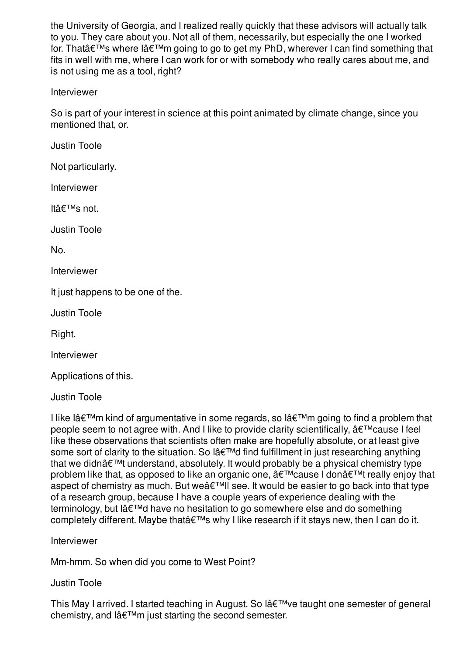the University of Georgia, and I realized really quickly that these advisors will actually talk to you. They care about you. Not all of them, necessarily, but especially the one I worked for. That $\hat{a} \in \mathbb{M}$ s where  $\hat{a} \in \mathbb{M}$ m going to go to get my PhD, wherever I can find something that fits in well with me, where I can work for or with somebody who really cares about me, and is not using me as a tool, right?

### Interviewer

So is part of your interest in science at this point animated by climate change, since you mentioned that, or.

Justin Toole

Not particularly.

Interviewer

Itâ€<sup>™</sup>s not.

Justin Toole

No.

Interviewer

It just happens to be one of the.

Justin Toole

Right.

Interviewer

Applications of this.

Justin Toole

I like I $a \in \mathbb{M}$ m kind of argumentative in some regards, so I $a \in \mathbb{M}$ m going to find a problem that people seem to not agree with. And I like to provide clarity scientifically,  $\hat{a} \in \mathbb{M}$  cause I feel like these observations that scientists often make are hopefully absolute, or at least give some sort of clarity to the situation. So l'd find fulfillment in just researching anything that we didn $\hat{\mathbf{a}} \in \mathbb{M}$  understand, absolutely. It would probably be a physical chemistry type problem like that, as opposed to like an organic one,  $\hat{a} \in \mathbb{M}$  cause I don $\hat{a} \in \mathbb{M}$  really enjoy that aspect of chemistry as much. But we $\hat{a} \in T^M$ Il see. It would be easier to go back into that type of a research group, because I have a couple years of experience dealing with the terminology, but  $I\hat{a} \in T^{M}d$  have no hesitation to go somewhere else and do something completely different. Maybe that's why I like research if it stays new, then I can do it.

Interviewer

Mm-hmm. So when did you come to West Point?

Justin Toole

This May I arrived. I started teaching in August. So l've taught one semester of general chemistry, and l'm just starting the second semester.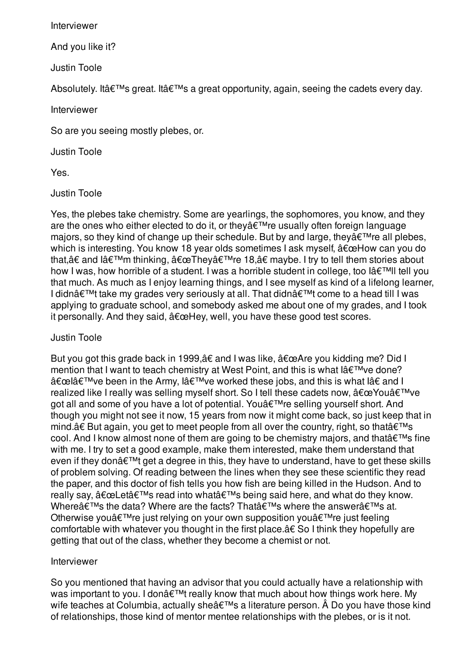Interviewer

And you like it?

Justin Toole

Absolutely. It at  $W$ s great. It at  $W$ s a great opportunity, again, seeing the cadets every day.

Interviewer

So are you seeing mostly plebes, or.

Justin Toole

Yes.

Justin Toole

Yes, the plebes take chemistry. Some are yearlings, the sophomores, you know, and they are the ones who either elected to do it, or they  $\hat{\mathcal{A}} \in \mathbb{R}^{n}$  are usually often foreign language majors, so they kind of change up their schedule. But by and large, they  $\hat{\mathbf{a}} \in \mathbb{R}^{m}$  re all plebes, which is interesting. You know 18 year olds sometimes I ask myself,  $"How can you do$ that,†and l'm thinking, "They're 18,†maybe. I try to tell them stories about how I was, how horrible of a student. I was a horrible student in college, too lâ $\epsilon^{\text{TM}}$ ll tell you that much. As much as I enjoy learning things, and I see myself as kind of a lifelong learner, I didn $\hat{\mathbf{a}} \in \mathbb{M}$ take my grades very seriously at all. That didn $\hat{\mathbf{a}} \in \mathbb{M}$ t come to a head till I was applying to graduate school, and somebody asked me about one of my grades, and I took it personally. And they said,  $\hat{a} \in \mathbb{C}$ Hey, well, you have these good test scores.

## Justin Toole

But you got this grade back in 1999, a€ and I was like,  $\hat{a} \in \Omega$  are you kidding me? Did I mention that I want to teach chemistry at West Point, and this is what  $\hat{a} \in \text{TMve done?}$ "l've been in the Army, l've worked these jobs, and this is what l†and I realized like I really was selling myself short. So I tell these cadets now,  $\hat{a} \in \mathbb{C}$ You $\hat{a} \in \mathbb{N}$ ve got all and some of you have a lot of potential. You a€™re selling yourself short. And though you might not see it now, 15 years from now it might come back, so just keep that in mind. $â€$  But again, you get to meet people from all over the country, right, so that $â€$ ™s cool. And I know almost none of them are going to be chemistry majors, and that  $\hat{\mathbf{a}} \in \mathbb{N}$ s fine with me. I try to set a good example, make them interested, make them understand that even if they don $\hat{a} \in \mathbb{M}$  get a degree in this, they have to understand, have to get these skills of problem solving. Of reading between the lines when they see these scientific they read the paper, and this doctor of fish tells you how fish are being killed in the Hudson. And to really say,  $\hat{a} \in \text{ceLet} \hat{a} \in \text{TMs}$  read into what $\hat{a} \in \text{TMs}$  being said here, and what do they know. Where $\hat{\mathbf{a}} \in \mathbb{M}$ s the data? Where are the facts? That $\hat{\mathbf{a}} \in \mathbb{M}$ s where the answer $\hat{\mathbf{a}} \in \mathbb{M}$ s at. Otherwise you're just relying on your own supposition you're just feeling comfortable with whatever you thought in the first place.â€ So I think they hopefully are getting that out of the class, whether they become a chemist or not.

## Interviewer

So you mentioned that having an advisor that you could actually have a relationship with was important to you. I don't really know that much about how things work here. My wife teaches at Columbia, actually she's a literature person. Â Do you have those kind of relationships, those kind of mentor mentee relationships with the plebes, or is it not.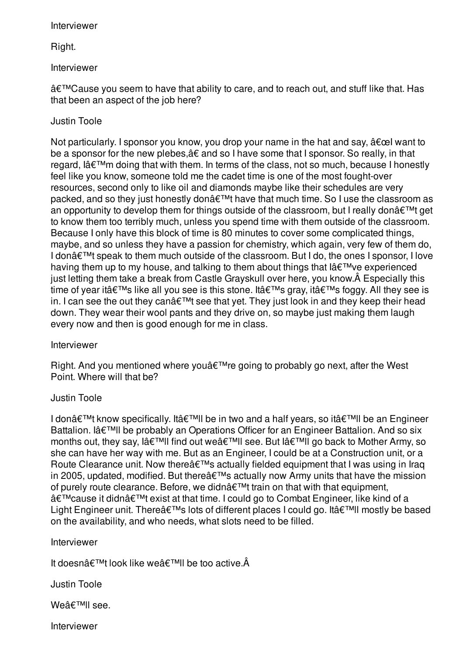### Interviewer

Right.

### Interviewer

â€<sup>™</sup>Cause you seem to have that ability to care, and to reach out, and stuff like that. Has that been an aspect of the job here?

## Justin Toole

Not particularly. I sponsor you know, you drop your name in the hat and say,  $\hat{a} \in \infty$  want to be a sponsor for the new plebes,â€ and so I have some that I sponsor. So really, in that regard, l'm doing that with them. In terms of the class, not so much, because I honestly feel like you know, someone told me the cadet time is one of the most fought-over resources, second only to like oil and diamonds maybe like their schedules are very packed, and so they just honestly don't have that much time. So I use the classroom as an opportunity to develop them for things outside of the classroom, but I really don $\hat{a} \in \mathbb{M}$ t get to know them too terribly much, unless you spend time with them outside of the classroom. Because I only have this block of time is 80 minutes to cover some complicated things, maybe, and so unless they have a passion for chemistry, which again, very few of them do, I don't speak to them much outside of the classroom. But I do, the ones I sponsor, I love having them up to my house, and talking to them about things that l've experienced just letting them take a break from Castle Grayskull over here, you know.Â Especially this time of year it  $\hat{a} \in T^M$ s like all you see is this stone. It  $\hat{a} \in T^M$ s gray, it  $\hat{a} \in T^M$ s foggy. All they see is in. I can see the out they can $\hat{\mathbf{a}} \in \mathbb{M}$  see that yet. They just look in and they keep their head down. They wear their wool pants and they drive on, so maybe just making them laugh every now and then is good enough for me in class.

Interviewer

Right. And you mentioned where you  $\hat{\epsilon}^{\text{TM}}$ re going to probably go next, after the West Point. Where will that be?

## Justin Toole

I don $\hat{\mathbf{a}} \in \mathbb{M}$ t know specifically. It $\hat{\mathbf{a}} \in \mathbb{M}$ ll be in two and a half years, so it $\hat{\mathbf{a}} \in \mathbb{M}$ ll be an Engineer Battalion. Iâ€<sup>™</sup>ll be probably an Operations Officer for an Engineer Battalion. And so six months out, they say, l'll find out we'll see. But l'll go back to Mother Army, so she can have her way with me. But as an Engineer, I could be at a Construction unit, or a Route Clearance unit. Now there  $\hat{\mathbf{a}} \in \mathbb{M}$ s actually fielded equipment that I was using in Iraq in 2005, updated, modified. But there  $\hat{\mathbf{a}} \in \mathbb{R}^{T M}$ s actually now Army units that have the mission of purely route clearance. Before, we didn $\hat{\mathbf{a}} \in \mathbb{M}$ t train on that with that equipment, 'cause it didn't exist at that time. I could go to Combat Engineer, like kind of a Light Engineer unit. There's lots of different places I could go. It'll mostly be based on the availability, and who needs, what slots need to be filled.

## Interviewer

It doesn $\hat{a} \in T^M$ t look like we $\hat{a} \in T^M$ ll be too active. $\hat{A}$ 

Justin Toole

Weâ€<sup>™</sup>ll see.

Interviewer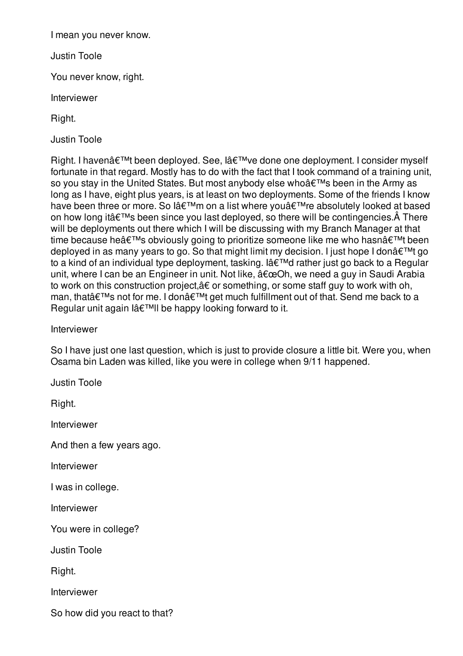I mean you never know.

Justin Toole

You never know, right.

Interviewer

Right.

Justin Toole

Right. I haven't been deployed. See, l've done one deployment. I consider myself fortunate in that regard. Mostly has to do with the fact that I took command of a training unit, so you stay in the United States. But most anybody else who's been in the Army as long as I have, eight plus years, is at least on two deployments. Some of the friends I know have been three or more. So l'm on a list where you're absolutely looked at based on how long it  $\hat{a} \in \mathbb{M}$ s been since you last deployed, so there will be contingencies.  $\hat{A}$  There will be deployments out there which I will be discussing with my Branch Manager at that time because he's obviously going to prioritize someone like me who hasn't been deployed in as many years to go. So that might limit my decision. I just hope I don't go to a kind of an individual type deployment, tasking. I $\hat{a} \in \mathbb{T}^M$ d rather just go back to a Regular unit, where I can be an Engineer in unit. Not like,  $â€æOh$ , we need a guy in Saudi Arabia to work on this construction project,â€ or something, or some staff guy to work with oh, man, that's not for me. I don't get much fulfillment out of that. Send me back to a Regular unit again l'll be happy looking forward to it.

Interviewer

So I have just one last question, which is just to provide closure a little bit. Were you, when Osama bin Laden was killed, like you were in college when 9/11 happened.

Justin Toole

Right.

Interviewer

And then a few years ago.

Interviewer

I was in college.

Interviewer

You were in college?

Justin Toole

Right.

Interviewer

So how did you react to that?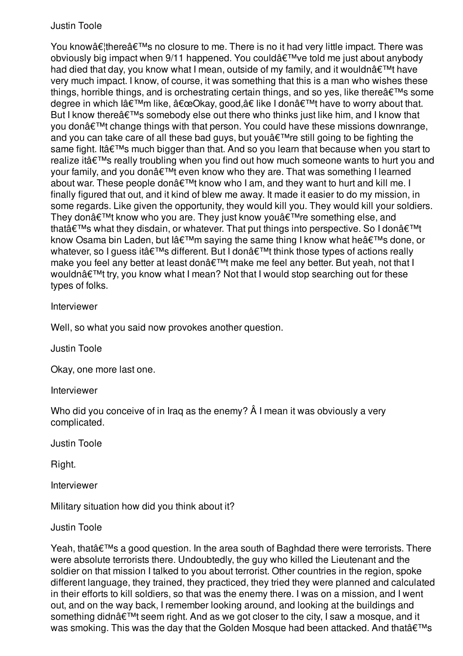You know…there's no closure to me. There is no it had very little impact. There was obviously big impact when 9/11 happened. You could've told me just about anybody had died that day, you know what I mean, outside of my family, and it wouldn $\hat{a} \in T^M$ t have very much impact. I know, of course, it was something that this is a man who wishes these things, horrible things, and is orchestrating certain things, and so yes, like there $\hat{a} \in \mathbb{N}$ s some degree in which l'm like, "Okay, good,†like I don't have to worry about that. But I know there $\hat{a} \in \mathbb{M}$ s somebody else out there who thinks just like him, and I know that you donâ€<sup>™</sup>t change things with that person. You could have these missions downrange, and you can take care of all these bad guys, but you  $\hat{\theta} \in \mathbb{R}^{n}$  are still going to be fighting the same fight. It at  $W$ s much bigger than that. And so you learn that because when you start to realize it  $\hat{\theta} \in \mathbb{R}^{m}$  really troubling when you find out how much someone wants to hurt you and your family, and you don't even know who they are. That was something I learned about war. These people don $\hat{\mathcal{A}} \in \mathbb{M}$ t know who I am, and they want to hurt and kill me. I finally figured that out, and it kind of blew me away. It made it easier to do my mission, in some regards. Like given the opportunity, they would kill you. They would kill your soldiers. They don $\hat{\mathcal{A}} \in \mathbb{M}$  know who you are. They just know you $\hat{\mathcal{A}} \in \mathbb{M}$ re something else, and that $\hat{\mathbf{a}} \in \mathbb{M}$ s what they disdain, or whatever. That put things into perspective. So I don $\hat{\mathbf{a}} \in \mathbb{M}$ t know Osama bin Laden, but l'm saying the same thing I know what he's done, or whatever, so I quess it's different. But I don't think those types of actions really make you feel any better at least don't make me feel any better. But yeah, not that I wouldnâ€<sup>™</sup>t try, you know what I mean? Not that I would stop searching out for these types of folks.

### Interviewer

Well, so what you said now provokes another question.

Justin Toole

Okay, one more last one.

Interviewer

Who did you conceive of in Iraq as the enemy?  $\hat{A}$  I mean it was obviously a very complicated.

Justin Toole

Right.

Interviewer

Military situation how did you think about it?

Justin Toole

Yeah, that  $\hat{\theta} \in \mathbb{M}$  a good question. In the area south of Baghdad there were terrorists. There were absolute terrorists there. Undoubtedly, the guy who killed the Lieutenant and the soldier on that mission I talked to you about terrorist. Other countries in the region, spoke different language, they trained, they practiced, they tried they were planned and calculated in their efforts to kill soldiers, so that was the enemy there. I was on a mission, and I went out, and on the way back, I remember looking around, and looking at the buildings and something didn't seem right. And as we got closer to the city, I saw a mosque, and it was smoking. This was the day that the Golden Mosque had been attacked. And that's